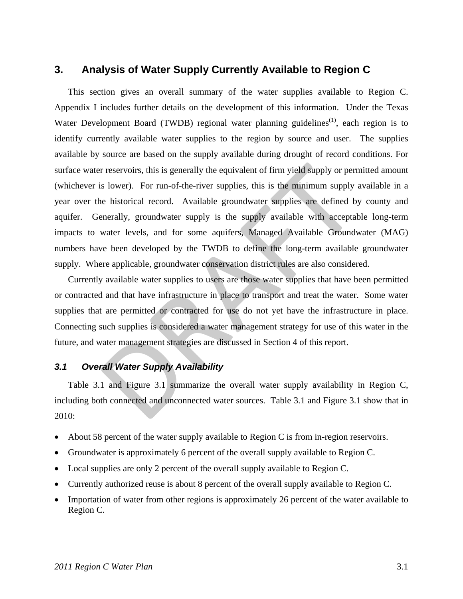# **3. Analysis of Water Supply Currently Available to Region C**

This section gives an overall summary of the water supplies available to Region C. Appendix I includes further details on the development of this information. Under the Texas Water Development Board (TWDB) regional water planning guidelines<sup> $(1)$ </sup>, each region is to identify currently available water supplies to the region by source and user. The supplies available by source are based on the supply available during drought of record conditions. For surface water reservoirs, this is generally the equivalent of firm yield supply or permitted amount (whichever is lower). For run-of-the-river supplies, this is the minimum supply available in a year over the historical record. Available groundwater supplies are defined by county and aquifer. Generally, groundwater supply is the supply available with acceptable long-term impacts to water levels, and for some aquifers, Managed Available Groundwater (MAG) numbers have been developed by the TWDB to define the long-term available groundwater supply. Where applicable, groundwater conservation district rules are also considered. r reservoirs, this is generally the equivalent of firm yield supply or per<br>is lower). For run-of-the-river supplies, this is the minimum supply<br>ne historical record. Available groundwater supplies are defined b<br>enerally, g

Currently available water supplies to users are those water supplies that have been permitted or contracted and that have infrastructure in place to transport and treat the water. Some water supplies that are permitted or contracted for use do not yet have the infrastructure in place. Connecting such supplies is considered a water management strategy for use of this water in the future, and water management strategies are discussed in Section 4 of this report.

## *3.1 Overall Water Supply Availability*

Table 3.1 and Figure 3.1 summarize the overall water supply availability in Region C, including both connected and unconnected water sources. Table 3.1 and Figure 3.1 show that in 2010:

- About 58 percent of the water supply available to Region C is from in-region reservoirs.
- Groundwater is approximately 6 percent of the overall supply available to Region C.
- Local supplies are only 2 percent of the overall supply available to Region C.
- Currently authorized reuse is about 8 percent of the overall supply available to Region C.
- Importation of water from other regions is approximately 26 percent of the water available to Region C.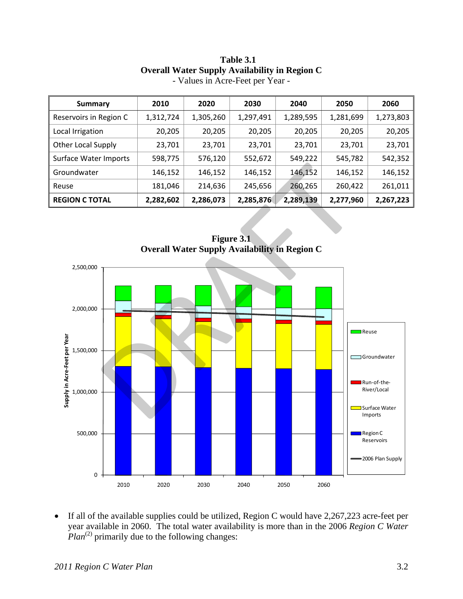| Summary                   | 2010      | 2020      | 2030      | 2040      | 2050      | 2060      |
|---------------------------|-----------|-----------|-----------|-----------|-----------|-----------|
| Reservoirs in Region C    | 1,312,724 | 1,305,260 | 1,297,491 | 1,289,595 | 1,281,699 | 1,273,803 |
| Local Irrigation          | 20,205    | 20,205    | 20,205    | 20,205    | 20,205    | 20,205    |
| <b>Other Local Supply</b> | 23,701    | 23,701    | 23,701    | 23,701    | 23,701    | 23,701    |
| Surface Water Imports     | 598,775   | 576,120   | 552,672   | 549,222   | 545,782   | 542,352   |
| Groundwater               | 146,152   | 146,152   | 146,152   | 146,152   | 146,152   | 146,152   |
| Reuse                     | 181,046   | 214,636   | 245,656   | 260,265   | 260,422   | 261,011   |
| <b>REGION C TOTAL</b>     | 2,282,602 | 2,286,073 | 2,285,876 | 2,289,139 | 2,277,960 | 2,267,223 |

## **Table 3.1 Overall Water Supply Availability in Region C**  - Values in Acre-Feet per Year -

**Figure 3.1 Overall Water Supply Availability in Region C** 



• If all of the available supplies could be utilized, Region C would have 2,267,223 acre-feet per year available in 2060. The total water availability is more than in the 2006 *Region C Water Plan*<sup>(2)</sup> primarily due to the following changes: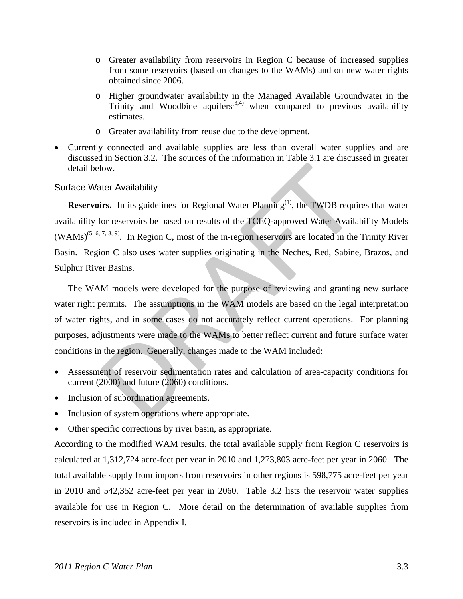- o Greater availability from reservoirs in Region C because of increased supplies from some reservoirs (based on changes to the WAMs) and on new water rights obtained since 2006.
- o Higher groundwater availability in the Managed Available Groundwater in the Trinity and Woodbine aquifers<sup> $(3,4)$ </sup> when compared to previous availability estimates.
- o Greater availability from reuse due to the development.
- Currently connected and available supplies are less than overall water supplies and are discussed in Section 3.2. The sources of the information in Table 3.1 are discussed in greater detail below.

## Surface Water Availability

**Reservoirs.** In its guidelines for Regional Water Planning<sup>(1)</sup>, the TWDB requires that water availability for reservoirs be based on results of the TCEQ-approved Water Availability Models  $(WAMs)^{(5, 6, 7, 8, 9)}$ . In Region C, most of the in-region reservoirs are located in the Trinity River Basin. Region C also uses water supplies originating in the Neches, Red, Sabine, Brazos, and Sulphur River Basins.

The WAM models were developed for the purpose of reviewing and granting new surface water right permits. The assumptions in the WAM models are based on the legal interpretation of water rights, and in some cases do not accurately reflect current operations. For planning purposes, adjustments were made to the WAMs to better reflect current and future surface water conditions in the region. Generally, changes made to the WAM included: low.<br>
ther Availability<br>
irs. In its guidelines for Regional Water Planning<sup>(1)</sup>, the TWDB requi<br>
for reservoirs be based on results of the TCEQ-approved Water Availa<br>
<sup>7.8.9)</sup>. In Region C, most of the in-region reservoir

- Assessment of reservoir sedimentation rates and calculation of area-capacity conditions for current (2000) and future (2060) conditions.
- Inclusion of subordination agreements.
- Inclusion of system operations where appropriate.
- Other specific corrections by river basin, as appropriate.

According to the modified WAM results, the total available supply from Region C reservoirs is calculated at 1,312,724 acre-feet per year in 2010 and 1,273,803 acre-feet per year in 2060. The total available supply from imports from reservoirs in other regions is 598,775 acre-feet per year in 2010 and 542,352 acre-feet per year in 2060. Table 3.2 lists the reservoir water supplies available for use in Region C. More detail on the determination of available supplies from reservoirs is included in Appendix I.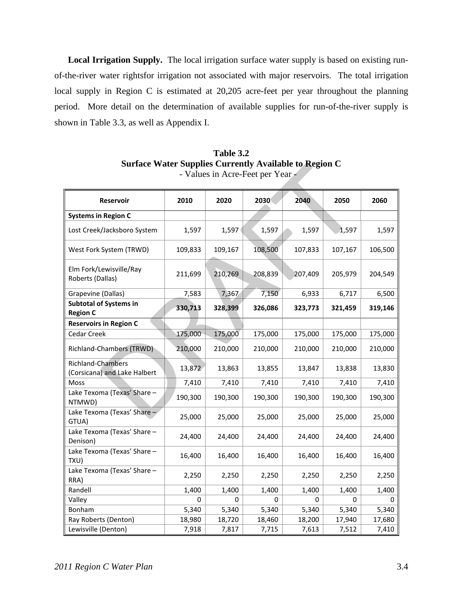**Local Irrigation Supply.** The local irrigation surface water supply is based on existing runof-the-river water rightsfor irrigation not associated with major reservoirs. The total irrigation local supply in Region C is estimated at 20,205 acre-feet per year throughout the planning period. More detail on the determination of available supplies for run-of-the-river supply is shown in Table 3.3, as well as Appendix I.

| Surface Water Supplies Currently Available to Region C |         |         | - Values in Acre-Feet per Year - |         |         |         |
|--------------------------------------------------------|---------|---------|----------------------------------|---------|---------|---------|
| Reservoir                                              | 2010    | 2020    | 2030                             | 2040    | 2050    | 2060    |
| <b>Systems in Region C</b>                             |         |         |                                  |         |         |         |
| Lost Creek/Jacksboro System                            | 1,597   | 1,597   | 1,597                            | 1,597   | 1,597   | 1,597   |
| West Fork System (TRWD)                                | 109,833 | 109,167 | 108,500                          | 107,833 | 107,167 | 106,500 |
| Elm Fork/Lewisville/Ray<br>Roberts (Dallas)            | 211,699 | 210,269 | 208,839                          | 207,409 | 205,979 | 204,549 |
| Grapevine (Dallas)                                     | 7,583   | 7,367   | 7,150                            | 6,933   | 6,717   | 6,500   |
| <b>Subtotal of Systems in</b><br><b>Region C</b>       | 330,713 | 328,399 | 326,086                          | 323,773 | 321,459 | 319,146 |
| <b>Reservoirs in Region C</b>                          |         |         |                                  |         |         |         |
| Cedar Creek                                            | 175,000 | 175,000 | 175,000                          | 175,000 | 175,000 | 175,000 |
| Richland-Chambers (TRWD)                               | 210,000 | 210,000 | 210,000                          | 210,000 | 210,000 | 210,000 |
| Richland-Chambers<br>(Corsicana) and Lake Halbert      | 13,872  | 13,863  | 13,855                           | 13,847  | 13,838  | 13,830  |
| Moss                                                   | 7,410   | 7,410   | 7,410                            | 7,410   | 7,410   | 7,410   |
| Lake Texoma (Texas' Share -<br>NTMWD)                  | 190,300 | 190,300 | 190,300                          | 190,300 | 190,300 | 190,300 |
| Lake Texoma (Texas' Share -<br>GTUA)                   | 25,000  | 25,000  | 25,000                           | 25,000  | 25,000  | 25,000  |
| Lake Texoma (Texas' Share -<br>Denison)                | 24,400  | 24,400  | 24,400                           | 24,400  | 24,400  | 24,400  |
| Lake Texoma (Texas' Share -<br>TXU)                    | 16,400  | 16,400  | 16,400                           | 16,400  | 16,400  | 16,400  |
| Lake Texoma (Texas' Share -<br>RRA)                    | 2,250   | 2,250   | 2,250                            | 2,250   | 2,250   | 2,250   |
| Randell                                                | 1,400   | 1,400   | 1,400                            | 1,400   | 1,400   | 1,400   |
| Valley                                                 | 0       | 0       | 0                                | 0       | 0       | 0       |
| Bonham                                                 | 5,340   | 5,340   | 5,340                            | 5,340   | 5,340   | 5,340   |
| Ray Roberts (Denton)                                   | 18,980  | 18,720  | 18,460                           | 18,200  | 17,940  | 17,680  |
| Lewisville (Denton)                                    | 7,918   | 7,817   | 7,715                            | 7,613   | 7,512   | 7,410   |

**Table 3.2 Surface Water Supplies Currently Available to Region C**  - Values in Acre-Feet per Year -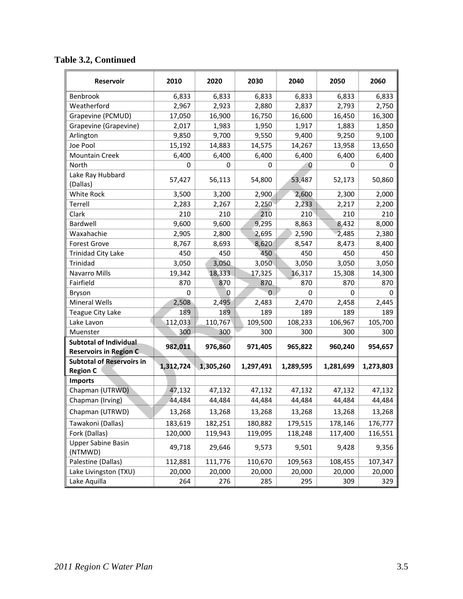| <b>Reservoir</b>                                               | 2010      | 2020           | 2030      | 2040      | 2050      | 2060      |
|----------------------------------------------------------------|-----------|----------------|-----------|-----------|-----------|-----------|
| Benbrook                                                       | 6,833     | 6,833          | 6,833     | 6,833     | 6,833     | 6,833     |
| Weatherford                                                    | 2,967     | 2,923          | 2,880     | 2,837     | 2,793     | 2,750     |
| Grapevine (PCMUD)                                              | 17,050    | 16,900         | 16,750    | 16,600    | 16,450    | 16,300    |
| Grapevine (Grapevine)                                          | 2,017     | 1,983          | 1,950     | 1,917     | 1,883     | 1,850     |
| Arlington                                                      | 9,850     | 9,700          | 9,550     | 9,400     | 9,250     | 9,100     |
| Joe Pool                                                       | 15,192    | 14,883         | 14,575    | 14,267    | 13,958    | 13,650    |
| <b>Mountain Creek</b>                                          | 6,400     | 6,400          | 6,400     | 6,400     | 6,400     | 6,400     |
| North                                                          | 0         | 0              | 0         | 0         | 0         | 0         |
| Lake Ray Hubbard<br>(Dallas)                                   | 57,427    | 56,113         | 54,800    | 53,487    | 52,173    | 50,860    |
| White Rock                                                     | 3,500     | 3,200          | 2,900     | 2,600     | 2,300     | 2,000     |
| Terrell                                                        | 2,283     | 2,267          | 2,250     | 2,233     | 2,217     | 2,200     |
| Clark                                                          | 210       | 210            | 210       | 210       | 210       | 210       |
| Bardwell                                                       | 9,600     | 9,600          | 9,295     | 8,863     | 8,432     | 8,000     |
| Waxahachie                                                     | 2,905     | 2,800          | 2,695     | 2,590     | 2,485     | 2,380     |
| <b>Forest Grove</b>                                            | 8,767     | 8,693          | 8,620     | 8,547     | 8,473     | 8,400     |
| <b>Trinidad City Lake</b>                                      | 450       | 450            | 450       | 450       | 450       | 450       |
| Trinidad                                                       | 3,050     | 3,050          | 3,050     | 3,050     | 3,050     | 3,050     |
| Navarro Mills                                                  | 19,342    | 18,333         | 17,325    | 16,317    | 15,308    | 14,300    |
| Fairfield                                                      | 870       | 870            | 870       | 870       | 870       | 870       |
| Bryson                                                         | 0         | $\overline{0}$ | 0         | 0         | 0         | 0         |
| <b>Mineral Wells</b>                                           | 2,508     | 2,495          | 2,483     | 2,470     | 2,458     | 2,445     |
| Teague City Lake                                               | 189       | 189            | 189       | 189       | 189       | 189       |
| Lake Lavon                                                     | 112,033   | 110,767        | 109,500   | 108,233   | 106,967   | 105,700   |
| Muenster                                                       | 300       | 300            | 300       | 300       | 300       | 300       |
| <b>Subtotal of Individual</b><br><b>Reservoirs in Region C</b> | 982,011   | 976,860        | 971,405   | 965,822   | 960,240   | 954,657   |
| <b>Subtotal of Reservoirs in</b><br><b>Region C</b>            | 1,312,724 | 1,305,260      | 1,297,491 | 1,289,595 | 1,281,699 | 1,273,803 |
| <b>Imports</b>                                                 |           |                |           |           |           |           |
| Chapman (UTRWD)                                                | 47,132    | 47,132         | 47,132    | 47,132    | 47,132    | 47,132    |
| Chapman (Irving)                                               | 44,484    | 44,484         | 44,484    | 44,484    | 44,484    | 44,484    |
| Chapman (UTRWD)                                                | 13,268    | 13,268         | 13,268    | 13,268    | 13,268    | 13,268    |
| Tawakoni (Dallas)                                              | 183,619   | 182,251        | 180,882   | 179,515   | 178,146   | 176,777   |
| Fork (Dallas)                                                  | 120,000   | 119,943        | 119,095   | 118,248   | 117,400   | 116,551   |
| <b>Upper Sabine Basin</b><br>(NTMWD)                           | 49,718    | 29,646         | 9,573     | 9,501     | 9,428     | 9,356     |
| Palestine (Dallas)                                             | 112,881   | 111,776        | 110,670   | 109,563   | 108,455   | 107,347   |
| Lake Livingston (TXU)                                          | 20,000    | 20,000         | 20,000    | 20,000    | 20,000    | 20,000    |
| Lake Aquilla                                                   | 264       | 276            | 285       | 295       | 309       | 329       |

# **Table 3.2, Continued**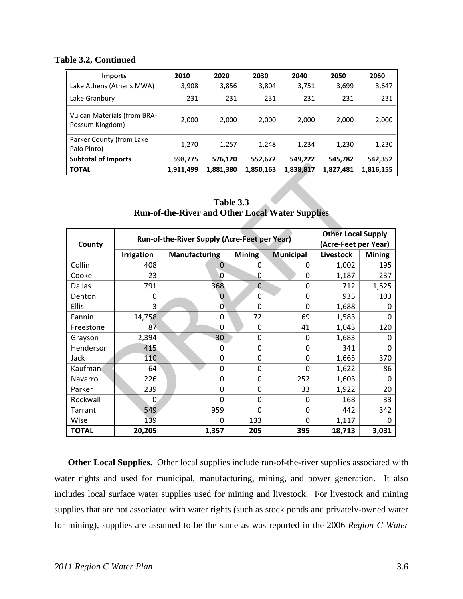### **Table 3.2, Continued**

| <b>Imports</b>                                        | 2010      | 2020      | 2030      | 2040      | 2050      | 2060      |
|-------------------------------------------------------|-----------|-----------|-----------|-----------|-----------|-----------|
| Lake Athens (Athens MWA)                              | 3,908     | 3,856     | 3,804     | 3,751     | 3,699     | 3,647     |
| Lake Granbury                                         | 231       | 231       | 231       | 231       | 231       | 231       |
| <b>Vulcan Materials (from BRA-</b><br>Possum Kingdom) | 2,000     | 2,000     | 2,000     | 2,000     | 2,000     | 2,000     |
| Parker County (from Lake<br>Palo Pinto)               | 1,270     | 1,257     | 1,248     | 1,234     | 1,230     | 1,230     |
| <b>Subtotal of Imports</b>                            | 598,775   | 576,120   | 552,672   | 549,222   | 545,782   | 542,352   |
| <b>TOTAL</b>                                          | 1,911,499 | 1,881,380 | 1,850,163 | 1,838,817 | 1,827,481 | 1,816,155 |

**Table 3.3 Run-of-the-River and Other Local Water Supplies** 

| <b>TOTAL</b>                                                                                                |                                                                     | 1,911,499<br>1,881,380<br>1,850,163<br>1,838,817 |                |                  |                  | 1,827,481     | 1,816,155 |  |  |  |  |  |
|-------------------------------------------------------------------------------------------------------------|---------------------------------------------------------------------|--------------------------------------------------|----------------|------------------|------------------|---------------|-----------|--|--|--|--|--|
|                                                                                                             | Table 3.3<br><b>Run-of-the-River and Other Local Water Supplies</b> |                                                  |                |                  |                  |               |           |  |  |  |  |  |
| <b>Other Local Supply</b><br>Run-of-the-River Supply (Acre-Feet per Year)<br>(Acre-Feet per Year)<br>County |                                                                     |                                                  |                |                  |                  |               |           |  |  |  |  |  |
|                                                                                                             | <b>Irrigation</b>                                                   | <b>Manufacturing</b>                             |                | <b>Municipal</b> | <b>Livestock</b> | <b>Mining</b> |           |  |  |  |  |  |
| Collin                                                                                                      | 408                                                                 |                                                  | $\overline{0}$ | 0                | 0                | 1,002         | 195       |  |  |  |  |  |
| Cooke                                                                                                       | 23                                                                  |                                                  | 0              | 0                | 0                | 1,187         | 237       |  |  |  |  |  |
| <b>Dallas</b>                                                                                               | 791                                                                 |                                                  | 368            | $\mathbf 0$      | 0                | 712           | 1,525     |  |  |  |  |  |
| Denton                                                                                                      | 0                                                                   |                                                  | 0              | 0                | $\overline{0}$   | 935           | 103       |  |  |  |  |  |
| <b>Ellis</b>                                                                                                | 3                                                                   |                                                  | 0              | $\Omega$         | $\overline{0}$   | 1,688         | 0         |  |  |  |  |  |
| Fannin                                                                                                      | 14,758                                                              |                                                  | $\mathbf 0$    | 72               | 69               | 1,583         | 0         |  |  |  |  |  |
| Freestone                                                                                                   | 87                                                                  |                                                  | 0              | $\Omega$         | 41               | 1,043         | 120       |  |  |  |  |  |
| Grayson                                                                                                     | 2,394                                                               |                                                  | 30             | $\mathbf 0$      | 0                | 1,683         | 0         |  |  |  |  |  |
| Henderson                                                                                                   | 415                                                                 |                                                  | 0              | $\Omega$         | $\Omega$         | 341           | $\Omega$  |  |  |  |  |  |
| Jack                                                                                                        | 110                                                                 |                                                  | 0              | 0                | 0                | 1,665         | 370       |  |  |  |  |  |
| Kaufman                                                                                                     | 64                                                                  |                                                  | 0              | $\mathbf 0$      | $\mathbf 0$      | 1,622         | 86        |  |  |  |  |  |
| Navarro                                                                                                     | 226                                                                 |                                                  | 0              | $\Omega$         | 252              | 1,603         | $\Omega$  |  |  |  |  |  |
| Parker                                                                                                      | 239                                                                 |                                                  | 0              | 0                | 33               | 1,922         | 20        |  |  |  |  |  |
| Rockwall                                                                                                    | 0                                                                   |                                                  | 0              | $\Omega$         | $\Omega$         | 168           | 33        |  |  |  |  |  |
| <b>Tarrant</b>                                                                                              | 549                                                                 |                                                  | 959            | 0                | $\overline{0}$   | 442           | 342       |  |  |  |  |  |
| Wise                                                                                                        | 139                                                                 |                                                  | 0              | 133              | 0                | 1,117         | 0         |  |  |  |  |  |
| <b>TOTAL</b>                                                                                                | 20,205                                                              |                                                  | 1,357          | 205              | 395              | 18,713        | 3,031     |  |  |  |  |  |

**Other Local Supplies.** Other local supplies include run-of-the-river supplies associated with water rights and used for municipal, manufacturing, mining, and power generation. It also includes local surface water supplies used for mining and livestock. For livestock and mining supplies that are not associated with water rights (such as stock ponds and privately-owned water for mining), supplies are assumed to be the same as was reported in the 2006 *Region C Water*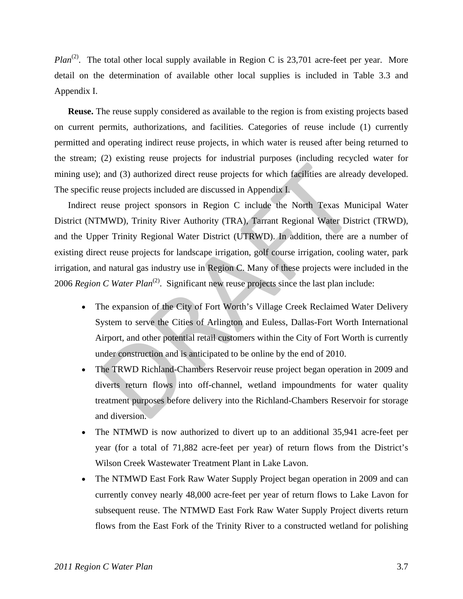*Plan*<sup>(2)</sup>. The total other local supply available in Region C is 23,701 acre-feet per year. More detail on the determination of available other local supplies is included in Table 3.3 and Appendix I.

**Reuse.** The reuse supply considered as available to the region is from existing projects based on current permits, authorizations, and facilities. Categories of reuse include (1) currently permitted and operating indirect reuse projects, in which water is reused after being returned to the stream; (2) existing reuse projects for industrial purposes (including recycled water for mining use); and (3) authorized direct reuse projects for which facilities are already developed. The specific reuse projects included are discussed in Appendix I.

Indirect reuse project sponsors in Region C include the North Texas Municipal Water District (NTMWD), Trinity River Authority (TRA), Tarrant Regional Water District (TRWD), and the Upper Trinity Regional Water District (UTRWD). In addition, there are a number of existing direct reuse projects for landscape irrigation, golf course irrigation, cooling water, park irrigation, and natural gas industry use in Region C. Many of these projects were included in the 2006 *Region C Water Plan<sup>(2)</sup>*. Significant new reuse projects since the last plan include: and (3) authorized direct reuse projects for which facilities are alread<br>reuse projects included are discussed in Appendix 1.<br>reuse projects included are discussed in Appendix 1.<br>reuse project sponsors in Region C include

- The expansion of the City of Fort Worth's Village Creek Reclaimed Water Delivery System to serve the Cities of Arlington and Euless, Dallas-Fort Worth International Airport, and other potential retail customers within the City of Fort Worth is currently under construction and is anticipated to be online by the end of 2010.
- The TRWD Richland-Chambers Reservoir reuse project began operation in 2009 and diverts return flows into off-channel, wetland impoundments for water quality treatment purposes before delivery into the Richland-Chambers Reservoir for storage and diversion.
- The NTMWD is now authorized to divert up to an additional 35,941 acre-feet per year (for a total of 71,882 acre-feet per year) of return flows from the District's Wilson Creek Wastewater Treatment Plant in Lake Lavon.
- The NTMWD East Fork Raw Water Supply Project began operation in 2009 and can currently convey nearly 48,000 acre-feet per year of return flows to Lake Lavon for subsequent reuse. The NTMWD East Fork Raw Water Supply Project diverts return flows from the East Fork of the Trinity River to a constructed wetland for polishing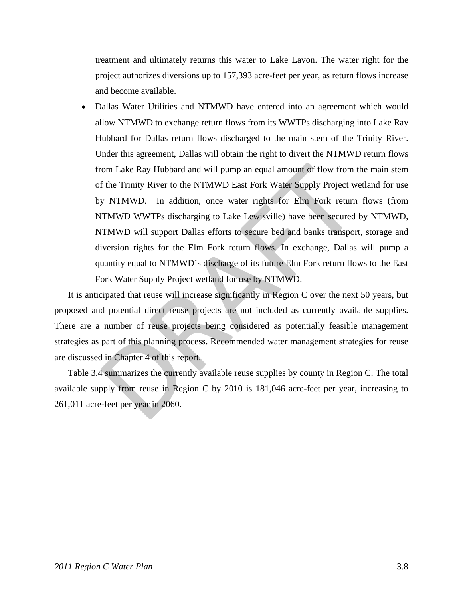treatment and ultimately returns this water to Lake Lavon. The water right for the project authorizes diversions up to 157,393 acre-feet per year, as return flows increase and become available.

• Dallas Water Utilities and NTMWD have entered into an agreement which would allow NTMWD to exchange return flows from its WWTPs discharging into Lake Ray Hubbard for Dallas return flows discharged to the main stem of the Trinity River. Under this agreement, Dallas will obtain the right to divert the NTMWD return flows from Lake Ray Hubbard and will pump an equal amount of flow from the main stem of the Trinity River to the NTMWD East Fork Water Supply Project wetland for use by NTMWD. In addition, once water rights for Elm Fork return flows (from NTMWD WWTPs discharging to Lake Lewisville) have been secured by NTMWD, NTMWD will support Dallas efforts to secure bed and banks transport, storage and diversion rights for the Elm Fork return flows. In exchange, Dallas will pump a quantity equal to NTMWD's discharge of its future Elm Fork return flows to the East Fork Water Supply Project wetland for use by NTMWD. from Lake Ray Hubbard and will pump an equal amount of flow from to the Trinity River to the NTMWD East Fork Water Supply Project w<br>by NTMWD. In addition, once water rights for Elm Fork return<br>NTMWD WWTPs discharging to La

It is anticipated that reuse will increase significantly in Region C over the next 50 years, but proposed and potential direct reuse projects are not included as currently available supplies. There are a number of reuse projects being considered as potentially feasible management strategies as part of this planning process. Recommended water management strategies for reuse are discussed in Chapter 4 of this report.

Table 3.4 summarizes the currently available reuse supplies by county in Region C. The total available supply from reuse in Region C by 2010 is 181,046 acre-feet per year, increasing to 261,011 acre-feet per year in 2060.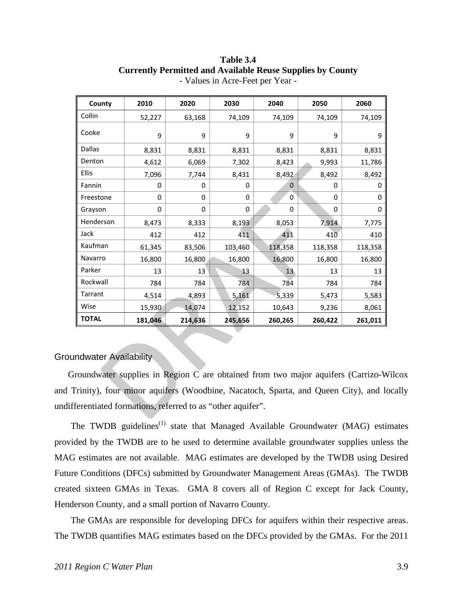| County                                                                            | 2010                 | 2020    | 2030     | 2040    | 2050    | 2060    |  |  |  |  |  |
|-----------------------------------------------------------------------------------|----------------------|---------|----------|---------|---------|---------|--|--|--|--|--|
| Collin                                                                            | 52,227               | 63,168  | 74,109   | 74,109  | 74,109  | 74,109  |  |  |  |  |  |
| Cooke                                                                             | 9                    | 9       | 9        | 9       | 9       | 9       |  |  |  |  |  |
| <b>Dallas</b>                                                                     | 8,831                | 8,831   | 8,831    | 8,831   | 8,831   | 8,831   |  |  |  |  |  |
| Denton                                                                            | 4,612                | 6,069   | 7,302    | 8,423   | 9,993   | 11,786  |  |  |  |  |  |
| Ellis                                                                             | 7,096                | 7,744   | 8,431    | 8,492   | 8,492   | 8,492   |  |  |  |  |  |
| Fannin                                                                            | 0                    | 0       | 0        | 0       | 0       | 0       |  |  |  |  |  |
| Freestone                                                                         | 0                    | 0       | $\Omega$ | 0       | 0       | 0       |  |  |  |  |  |
| Grayson                                                                           | 0                    | 0       | 0        | 0       | 0       | 0       |  |  |  |  |  |
| Henderson                                                                         | 8,473                | 8,333   | 8,193    | 8,053   | 7,914   | 7,775   |  |  |  |  |  |
| Jack                                                                              | 412                  | 412     | 411      | 411     | 410     | 410     |  |  |  |  |  |
| Kaufman                                                                           | 61,345               | 83,506  | 103,460  | 118,358 | 118,358 | 118,358 |  |  |  |  |  |
| Navarro                                                                           | 16,800               | 16,800  | 16,800   | 16,800  | 16,800  | 16,800  |  |  |  |  |  |
| Parker                                                                            | 13                   | 13      | 13       | 13      | 13      | 13      |  |  |  |  |  |
| Rockwall                                                                          | 784                  | 784     | 784      | 784     | 784     | 784     |  |  |  |  |  |
| Tarrant                                                                           | 4,514                | 4,893   | 5,161    | 5,339   | 5,473   | 5,583   |  |  |  |  |  |
| Wise                                                                              | 15,930               | 14,074  | 12,152   | 10,643  | 9,236   | 8,061   |  |  |  |  |  |
| <b>TOTAL</b>                                                                      | 181,046              | 214,636 | 245,656  | 260,265 | 260,422 | 261,011 |  |  |  |  |  |
|                                                                                   | ndwater Availability |         |          |         |         |         |  |  |  |  |  |
| roundwater supplies in Region C are obtained from two major aquifers (Carrizo-V   |                      |         |          |         |         |         |  |  |  |  |  |
| Frinity), four minor aquifers (Woodbine, Nacatoch, Sparta, and Queen City), and l |                      |         |          |         |         |         |  |  |  |  |  |
| ferentiated formations, referred to as "other aquifer".                           |                      |         |          |         |         |         |  |  |  |  |  |

### **Table 3.4 Currently Permitted and Available Reuse Supplies by County**  - Values in Acre-Feet per Year -

## Groundwater Availability

Groundwater supplies in Region C are obtained from two major aquifers (Carrizo-Wilcox and Trinity), four minor aquifers (Woodbine, Nacatoch, Sparta, and Queen City), and locally undifferentiated formations, referred to as "other aquifer".

The TWDB guidelines<sup> $(1)$ </sup> state that Managed Available Groundwater (MAG) estimates provided by the TWDB are to be used to determine available groundwater supplies unless the MAG estimates are not available. MAG estimates are developed by the TWDB using Desired Future Conditions (DFCs) submitted by Groundwater Management Areas (GMAs). The TWDB created sixteen GMAs in Texas. GMA 8 covers all of Region C except for Jack County, Henderson County, and a small portion of Navarro County.

The GMAs are responsible for developing DFCs for aquifers within their respective areas. The TWDB quantifies MAG estimates based on the DFCs provided by the GMAs. For the 2011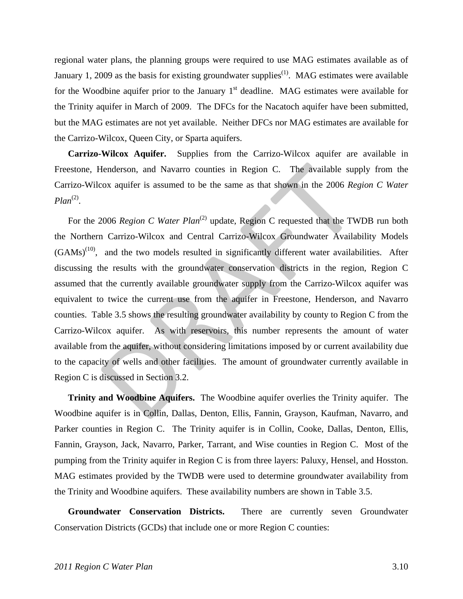regional water plans, the planning groups were required to use MAG estimates available as of January 1, 2009 as the basis for existing groundwater supplies<sup>(1)</sup>. MAG estimates were available for the Woodbine aquifer prior to the January  $1<sup>st</sup>$  deadline. MAG estimates were available for the Trinity aquifer in March of 2009. The DFCs for the Nacatoch aquifer have been submitted, but the MAG estimates are not yet available. Neither DFCs nor MAG estimates are available for the Carrizo-Wilcox, Queen City, or Sparta aquifers.

**Carrizo-Wilcox Aquifer.** Supplies from the Carrizo-Wilcox aquifer are available in Freestone, Henderson, and Navarro counties in Region C. The available supply from the Carrizo-Wilcox aquifer is assumed to be the same as that shown in the 2006 *Region C Water*   $Plan<sup>(2)</sup>$ .

For the 2006 *Region C Water Plan<sup>(2)</sup>* update, Region C requested that the TWDB run both the Northern Carrizo-Wilcox and Central Carrizo-Wilcox Groundwater Availability Models  $(GAMs)^{(10)}$ , and the two models resulted in significantly different water availabilities. After discussing the results with the groundwater conservation districts in the region, Region C assumed that the currently available groundwater supply from the Carrizo-Wilcox aquifer was equivalent to twice the current use from the aquifer in Freestone, Henderson, and Navarro counties. Table 3.5 shows the resulting groundwater availability by county to Region C from the Carrizo-Wilcox aquifer. As with reservoirs, this number represents the amount of water available from the aquifer, without considering limitations imposed by or current availability due to the capacity of wells and other facilities. The amount of groundwater currently available in Region C is discussed in Section 3.2. Henderson, and Navarro counties in Region C. The available sup<br>cox aquifer is assumed to be the same as that shown in the 2006  $Re_l$ <br>2006  $Re_l$   $C$   $Water$   $Plan^{(2)}$  update,  $Re_l$   $D$  requested that the TW<br>n Carrizo-Wilcox and Cen

**Trinity and Woodbine Aquifers.** The Woodbine aquifer overlies the Trinity aquifer. The Woodbine aquifer is in Collin, Dallas, Denton, Ellis, Fannin, Grayson, Kaufman, Navarro, and Parker counties in Region C. The Trinity aquifer is in Collin, Cooke, Dallas, Denton, Ellis, Fannin, Grayson, Jack, Navarro, Parker, Tarrant, and Wise counties in Region C. Most of the pumping from the Trinity aquifer in Region C is from three layers: Paluxy, Hensel, and Hosston. MAG estimates provided by the TWDB were used to determine groundwater availability from the Trinity and Woodbine aquifers. These availability numbers are shown in Table 3.5.

**Groundwater Conservation Districts.** There are currently seven Groundwater Conservation Districts (GCDs) that include one or more Region C counties: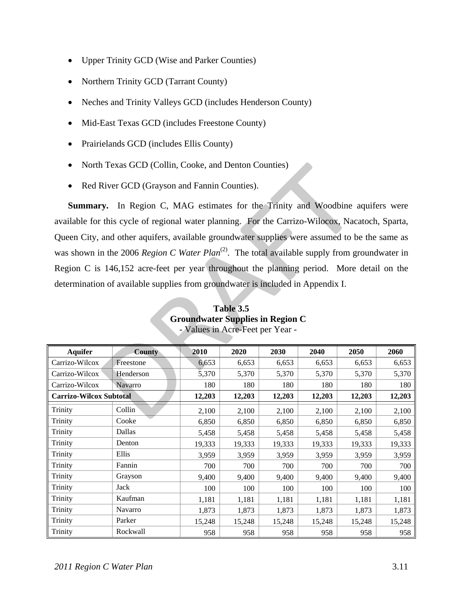- Upper Trinity GCD (Wise and Parker Counties)
- Northern Trinity GCD (Tarrant County)
- Neches and Trinity Valleys GCD (includes Henderson County)
- Mid-East Texas GCD (includes Freestone County)
- Prairielands GCD (includes Ellis County)
- North Texas GCD (Collin, Cooke, and Denton Counties)
- Red River GCD (Grayson and Fannin Counties).

**Summary.** In Region C, MAG estimates for the Trinity and Woodbine aquifers were available for this cycle of regional water planning. For the Carrizo-Wilocox, Nacatoch, Sparta, Queen City, and other aquifers, available groundwater supplies were assumed to be the same as was shown in the 2006 *Region C Water Plan*<sup>(2)</sup>. The total available supply from groundwater in Region C is 146,152 acre-feet per year throughout the planning period. More detail on the determination of available supplies from groundwater is included in Appendix I. 1 Texas GCD (Collin, Cooke, and Denton Counties)<br>
River GCD (Grayson and Fannin Counties).<br>
The Region C, MAG estimates for the Trinity and Woodbine at<br>
this cycle of regional water planning. For the Carrizo-Wilocox, Nac<br>

| <b>Aquifer</b>                 | <b>County</b>  | 2010   | 2020   | 2030   | 2040   | 2050   | 2060   |
|--------------------------------|----------------|--------|--------|--------|--------|--------|--------|
| Carrizo-Wilcox                 | Freestone      | 6,653  | 6,653  | 6,653  | 6,653  | 6,653  | 6,653  |
| Carrizo-Wilcox                 | Henderson      | 5,370  | 5,370  | 5,370  | 5,370  | 5,370  | 5,370  |
| Carrizo-Wilcox                 | <b>Navarro</b> | 180    | 180    | 180    | 180    | 180    | 180    |
| <b>Carrizo-Wilcox Subtotal</b> |                | 12,203 | 12,203 | 12,203 | 12,203 | 12,203 | 12,203 |
| Trinity                        | Collin         | 2,100  | 2,100  | 2,100  | 2,100  | 2,100  | 2,100  |
| Trinity                        | Cooke          | 6,850  | 6,850  | 6,850  | 6,850  | 6,850  | 6,850  |
| Trinity                        | Dallas         | 5,458  | 5,458  | 5,458  | 5,458  | 5,458  | 5,458  |
| Trinity                        | Denton         | 19,333 | 19,333 | 19,333 | 19,333 | 19,333 | 19,333 |
| Trinity                        | Ellis          | 3,959  | 3,959  | 3,959  | 3,959  | 3,959  | 3,959  |
| Trinity                        | Fannin         | 700    | 700    | 700    | 700    | 700    | 700    |
| Trinity                        | Grayson        | 9,400  | 9,400  | 9,400  | 9,400  | 9,400  | 9,400  |
| Trinity                        | Jack           | 100    | 100    | 100    | 100    | 100    | 100    |
| Trinity                        | Kaufman        | 1,181  | 1,181  | 1,181  | 1,181  | 1,181  | 1,181  |
| Trinity                        | Navarro        | 1,873  | 1,873  | 1,873  | 1,873  | 1,873  | 1,873  |
| Trinity                        | Parker         | 15,248 | 15,248 | 15,248 | 15,248 | 15,248 | 15,248 |
| Trinity                        | Rockwall       | 958    | 958    | 958    | 958    | 958    | 958    |

## **Table 3.5 Groundwater Supplies in Region C**  - Values in Acre-Feet per Year -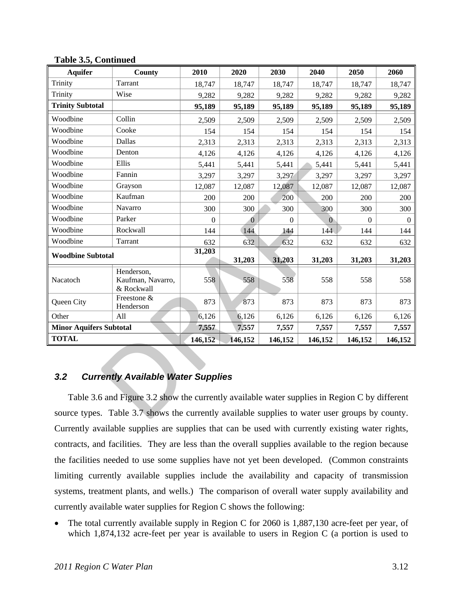| <b>Aquifer</b>                                   | County                                                                                         | 2010         | 2020     | 2030           | 2040           | 2050         | 2060     |  |  |  |
|--------------------------------------------------|------------------------------------------------------------------------------------------------|--------------|----------|----------------|----------------|--------------|----------|--|--|--|
| Trinity                                          | Tarrant                                                                                        | 18,747       | 18,747   | 18,747         | 18,747         | 18,747       | 18,747   |  |  |  |
| Trinity                                          | Wise                                                                                           | 9,282        | 9,282    | 9,282          | 9,282          | 9,282        | 9,282    |  |  |  |
| <b>Trinity Subtotal</b>                          |                                                                                                | 95,189       | 95,189   | 95,189         | 95,189         | 95,189       | 95,189   |  |  |  |
| Woodbine                                         | Collin                                                                                         | 2,509        | 2,509    | 2,509          | 2,509          | 2,509        | 2,509    |  |  |  |
| Woodbine                                         | Cooke                                                                                          | 154          | 154      | 154            | 154            | 154          | 154      |  |  |  |
| Woodbine                                         | Dallas                                                                                         | 2,313        | 2,313    | 2,313          | 2,313          | 2,313        | 2,313    |  |  |  |
| Woodbine                                         | Denton                                                                                         | 4,126        | 4,126    | 4,126          | 4,126          | 4,126        | 4,126    |  |  |  |
| Woodbine                                         | Ellis                                                                                          | 5,441        | 5,441    | 5,441          | 5,441          | 5,441        | 5,441    |  |  |  |
| Woodbine                                         | Fannin                                                                                         | 3,297        | 3,297    | 3,297          | 3,297          | 3,297        | 3,297    |  |  |  |
| Woodbine                                         | Grayson                                                                                        | 12,087       | 12,087   | 12,087         | 12,087         | 12,087       | 12,087   |  |  |  |
| Woodbine                                         | Kaufman                                                                                        | 200          | 200      | 200            | 200            | 200          | 200      |  |  |  |
| Woodbine                                         | Navarro                                                                                        | 300          | 300      | 300            | 300            | 300          | 300      |  |  |  |
| Woodbine                                         | Parker                                                                                         | $\mathbf{0}$ | $\bf{0}$ | $\overline{0}$ | $\overline{0}$ | $\mathbf{0}$ | $\Omega$ |  |  |  |
| Woodbine                                         | Rockwall                                                                                       | 144          | 144      | 144            | 144            | 144          | 144      |  |  |  |
| Woodbine                                         | Tarrant                                                                                        | 632          | 632      | 632            | 632            | 632          | 632      |  |  |  |
| <b>Woodbine Subtotal</b>                         |                                                                                                | 31,203       |          |                |                |              |          |  |  |  |
|                                                  |                                                                                                |              | 31,203   | 31,203         | 31,203         | 31,203       | 31,203   |  |  |  |
| Nacatoch                                         | Henderson,<br>Kaufman, Navarro,<br>& Rockwall                                                  | 558          | 558      | 558            | 558            | 558          | 558      |  |  |  |
| Queen City                                       | Freestone &<br>Henderson                                                                       | 873          | 873      | 873            | 873            | 873          | 873      |  |  |  |
| Other                                            | All                                                                                            | 6,126        | 6,126    | 6,126          | 6,126          | 6,126        | 6,126    |  |  |  |
| <b>Minor Aquifers Subtotal</b>                   |                                                                                                | 7,557        | 7,557    | 7,557          | 7,557          | 7,557        | 7,557    |  |  |  |
| <b>TOTAL</b>                                     |                                                                                                | 146,152      | 146,152  | 146,152        | 146,152        | 146,152      | 146,152  |  |  |  |
| 3.2<br><b>Currently Available Water Supplies</b> |                                                                                                |              |          |                |                |              |          |  |  |  |
|                                                  | Table 3.6 and Figure 3.2 show the currently available water supplies in Region C by different  |              |          |                |                |              |          |  |  |  |
|                                                  | source types. Table 3.7 shows the currently available supplies to water user groups by county. |              |          |                |                |              |          |  |  |  |

### **Table 3.5, Continued**

## *3.2 Currently Available Water Supplies*

Table 3.6 and Figure 3.2 show the currently available water supplies in Region C by different source types. Table 3.7 shows the currently available supplies to water user groups by county. Currently available supplies are supplies that can be used with currently existing water rights, contracts, and facilities. They are less than the overall supplies available to the region because the facilities needed to use some supplies have not yet been developed. (Common constraints limiting currently available supplies include the availability and capacity of transmission systems, treatment plants, and wells.) The comparison of overall water supply availability and currently available water supplies for Region C shows the following:

• The total currently available supply in Region C for 2060 is 1,887,130 acre-feet per year, of which 1,874,132 acre-feet per year is available to users in Region C (a portion is used to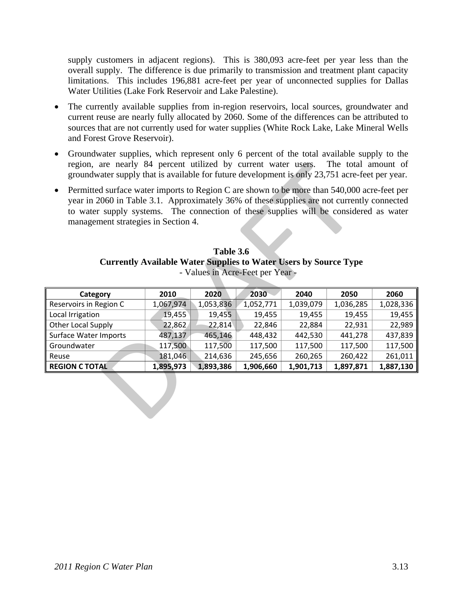supply customers in adjacent regions). This is 380,093 acre-feet per year less than the overall supply. The difference is due primarily to transmission and treatment plant capacity limitations. This includes 196,881 acre-feet per year of unconnected supplies for Dallas Water Utilities (Lake Fork Reservoir and Lake Palestine).

- The currently available supplies from in-region reservoirs, local sources, groundwater and current reuse are nearly fully allocated by 2060. Some of the differences can be attributed to sources that are not currently used for water supplies (White Rock Lake, Lake Mineral Wells and Forest Grove Reservoir).
- Groundwater supplies, which represent only 6 percent of the total available supply to the region, are nearly 84 percent utilized by current water users. The total amount of groundwater supply that is available for future development is only 23,751 acre-feet per year.
- Permitted surface water imports to Region C are shown to be more than 540,000 acre-feet per year in 2060 in Table 3.1. Approximately 36% of these supplies are not currently connected to water supply systems. The connection of these supplies will be considered as water management strategies in Section 4.

## **Table 3.6 Currently Available Water Supplies to Water Users by Source Type**  - Values in Acre-Feet per Year -

| region, are nearly 84 percent utilized by current water users. The total amount of<br>groundwater supply that is available for future development is only 23,751 acre-feet per year.                                                                                                                                                   |           |           |           |           |           |           |  |  |  |  |
|----------------------------------------------------------------------------------------------------------------------------------------------------------------------------------------------------------------------------------------------------------------------------------------------------------------------------------------|-----------|-----------|-----------|-----------|-----------|-----------|--|--|--|--|
| Permitted surface water imports to Region C are shown to be more than 540,000 acre-feet per<br>$\bullet$<br>year in 2060 in Table 3.1. Approximately 36% of these supplies are not currently connected<br>to water supply systems. The connection of these supplies will be considered as water<br>management strategies in Section 4. |           |           |           |           |           |           |  |  |  |  |
| Table 3.6<br><b>Currently Available Water Supplies to Water Users by Source Type</b><br>- Values in Acre-Feet per Year -                                                                                                                                                                                                               |           |           |           |           |           |           |  |  |  |  |
| Category                                                                                                                                                                                                                                                                                                                               | 2010      | 2020      | 2030      | 2040      | 2050      | 2060      |  |  |  |  |
| Reservoirs in Region C                                                                                                                                                                                                                                                                                                                 | 1,067,974 | 1,053,836 | 1,052,771 | 1,039,079 | 1,036,285 | 1,028,336 |  |  |  |  |
| Local Irrigation                                                                                                                                                                                                                                                                                                                       | 19,455    | 19,455    | 19,455    | 19,455    | 19,455    | 19,455    |  |  |  |  |
| Other Local Supply                                                                                                                                                                                                                                                                                                                     | 22,862    | 22,814    | 22,846    | 22,884    | 22,931    | 22,989    |  |  |  |  |
| Surface Water Imports                                                                                                                                                                                                                                                                                                                  | 487,137   | 465,146   | 448,432   | 442,530   | 441,278   | 437,839   |  |  |  |  |
| Groundwater                                                                                                                                                                                                                                                                                                                            | 117,500   | 117,500   | 117,500   | 117,500   | 117,500   | 117,500   |  |  |  |  |
| Reuse                                                                                                                                                                                                                                                                                                                                  | 181,046   | 214,636   | 245,656   | 260,265   | 260,422   | 261,011   |  |  |  |  |
| <b>REGION C TOTAL</b>                                                                                                                                                                                                                                                                                                                  | 1,895,973 | 1,893,386 | 1,906,660 | 1,901,713 | 1,897,871 | 1,887,130 |  |  |  |  |
|                                                                                                                                                                                                                                                                                                                                        |           |           |           |           |           |           |  |  |  |  |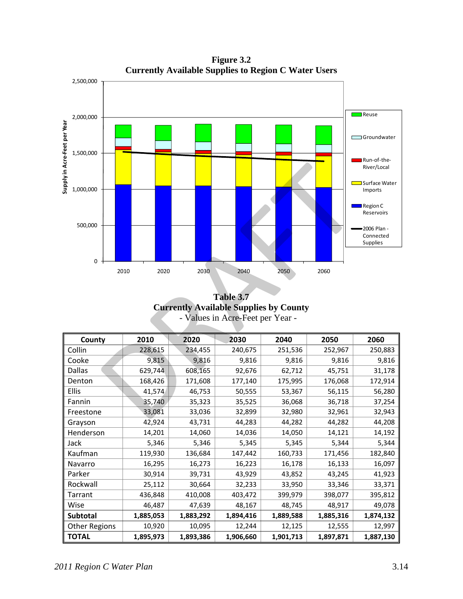2,500,000 **Reuse** 2,000,000 Supply in Acre-Feet per Year **Supply in Acre‐Feet per Year** Groundwater 1,500,000 **Run**-of-the-2010 2020 2030 2040 2050 2060<br>
2010 2020 2030 2040 2050 2060<br>
Table 3.7<br>
Currently Available Supplies by County<br>
- Values in Acre-Feet per Year -<br>
226.615 234,455 240,675 251,536 252,967<br>
9,815 9,816 9,816 9,816 9,816 9,81 River/Local **Surface Water** 1,000,000 Imports Region C Reservoirs 500,000 2006 Plan ‐ Connected Supplies 0 2010 2020 2030 2040 2050 2060

**Figure 3.2 Currently Available Supplies to Region C Water Users** 

**Table 3.7 Currently Available Supplies by County**  - Values in Acre-Feet per Year -

| County               | 2010      | 2020      | 2030      | 2040      | 2050      | 2060      |
|----------------------|-----------|-----------|-----------|-----------|-----------|-----------|
| Collin               | 228,615   | 234,455   | 240,675   | 251,536   | 252,967   | 250,883   |
| Cooke                | 9,815     | 9,816     | 9,816     | 9,816     | 9,816     | 9,816     |
| Dallas               | 629,744   | 608,165   | 92,676    | 62,712    | 45,751    | 31,178    |
| Denton               | 168,426   | 171,608   | 177,140   | 175,995   | 176,068   | 172,914   |
| Ellis                | 41,574    | 46,753    | 50,555    | 53,367    | 56,115    | 56,280    |
| Fannin               | 35,740    | 35,323    | 35,525    | 36,068    | 36,718    | 37,254    |
| Freestone            | 33,081    | 33,036    | 32,899    | 32,980    | 32,961    | 32,943    |
| Grayson              | 42,924    | 43,731    | 44,283    | 44,282    | 44,282    | 44,208    |
| Henderson            | 14,201    | 14,060    | 14,036    | 14,050    | 14,121    | 14,192    |
| Jack                 | 5,346     | 5,346     | 5,345     | 5,345     | 5,344     | 5,344     |
| Kaufman              | 119,930   | 136,684   | 147,442   | 160,733   | 171,456   | 182,840   |
| Navarro              | 16,295    | 16,273    | 16,223    | 16,178    | 16,133    | 16,097    |
| Parker               | 30,914    | 39,731    | 43,929    | 43,852    | 43,245    | 41,923    |
| Rockwall             | 25,112    | 30,664    | 32,233    | 33,950    | 33,346    | 33,371    |
| Tarrant              | 436,848   | 410,008   | 403,472   | 399,979   | 398,077   | 395,812   |
| Wise                 | 46,487    | 47,639    | 48,167    | 48,745    | 48,917    | 49,078    |
| Subtotal             | 1,885,053 | 1,883,292 | 1,894,416 | 1,889,588 | 1,885,316 | 1,874,132 |
| <b>Other Regions</b> | 10,920    | 10,095    | 12,244    | 12,125    | 12,555    | 12,997    |
| <b>TOTAL</b>         | 1,895,973 | 1,893,386 | 1,906,660 | 1,901,713 | 1,897,871 | 1,887,130 |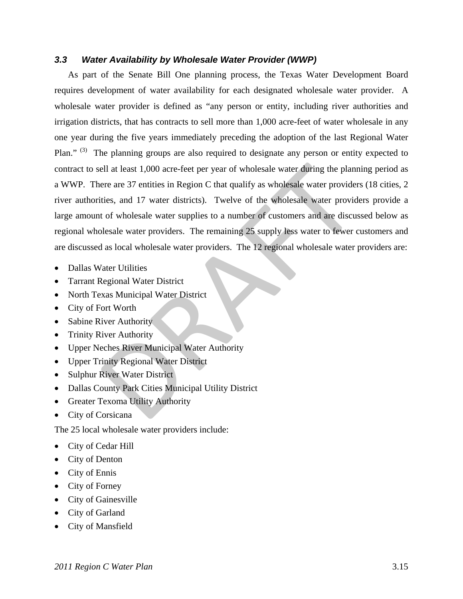## *3.3 Water Availability by Wholesale Water Provider (WWP)*

As part of the Senate Bill One planning process, the Texas Water Development Board requires development of water availability for each designated wholesale water provider. A wholesale water provider is defined as "any person or entity, including river authorities and irrigation districts, that has contracts to sell more than 1,000 acre-feet of water wholesale in any one year during the five years immediately preceding the adoption of the last Regional Water Plan." (3) The planning groups are also required to designate any person or entity expected to contract to sell at least 1,000 acre-feet per year of wholesale water during the planning period as a WWP. There are 37 entities in Region C that qualify as wholesale water providers (18 cities, 2 river authorities, and 17 water districts). Twelve of the wholesale water providers provide a large amount of wholesale water supplies to a number of customers and are discussed below as regional wholesale water providers. The remaining 25 supply less water to fewer customers and are discussed as local wholesale water providers. The 12 regional wholesale water providers are: ell at least 1,000 acre-feet per year of wholesale water during the plant<br>ere are 37 entities in Region C that qualify as wholesale water provide<br>tities, and 17 water districts). Twelve of the wholesale water provide<br>t of

- Dallas Water Utilities
- Tarrant Regional Water District
- North Texas Municipal Water District
- City of Fort Worth
- Sabine River Authority
- Trinity River Authority
- Upper Neches River Municipal Water Authority
- Upper Trinity Regional Water District
- Sulphur River Water District
- Dallas County Park Cities Municipal Utility District
- Greater Texoma Utility Authority
- City of Corsicana

The 25 local wholesale water providers include:

- City of Cedar Hill
- City of Denton
- City of Ennis
- City of Forney
- City of Gainesville
- City of Garland
- City of Mansfield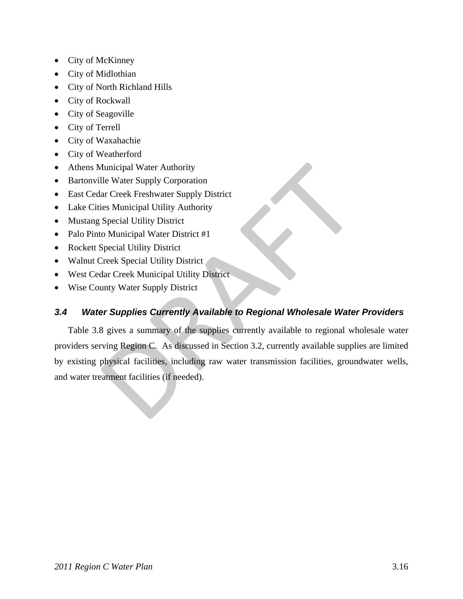- City of McKinney
- City of Midlothian
- City of North Richland Hills
- City of Rockwall
- City of Seagoville
- City of Terrell
- City of Waxahachie
- City of Weatherford
- Athens Municipal Water Authority
- Bartonville Water Supply Corporation
- East Cedar Creek Freshwater Supply District
- Lake Cities Municipal Utility Authority
- Mustang Special Utility District
- Palo Pinto Municipal Water District #1
- Rockett Special Utility District
- Walnut Creek Special Utility District
- West Cedar Creek Municipal Utility District
- Wise County Water Supply District

## *3.4 Water Supplies Currently Available to Regional Wholesale Water Providers*

Table 3.8 gives a summary of the supplies currently available to regional wholesale water providers serving Region C. As discussed in Section 3.2, currently available supplies are limited by existing physical facilities, including raw water transmission facilities, groundwater wells, and water treatment facilities (if needed). Aunicipal Water Authority<br>
Ile Water Supply Corporation<br>
ar Creek Freshwater Supply District<br>
ies Municipal Utility Authority<br>
Special Utility District<br>
Special Utility District<br>
Treek Special Utility District<br>
Treek Speci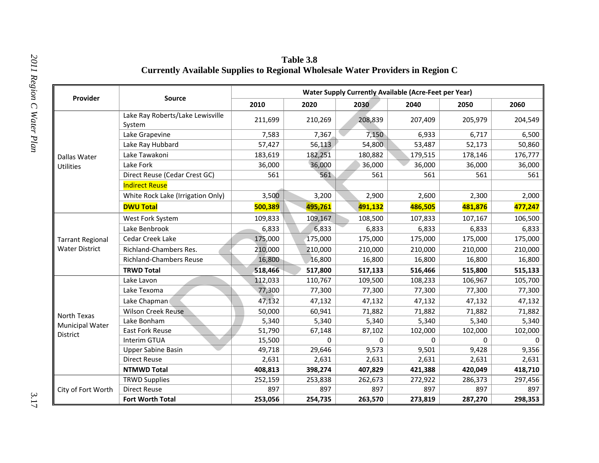|                                    |                                            |         |         |         | <b>Water Supply Currently Available (Acre-Feet per Year)</b> |         |         |
|------------------------------------|--------------------------------------------|---------|---------|---------|--------------------------------------------------------------|---------|---------|
| Provider                           | Source                                     | 2010    | 2020    | 2030    | 2040                                                         | 2050    | 2060    |
|                                    | Lake Ray Roberts/Lake Lewisville<br>System | 211,699 | 210,269 | 208,839 | 207,409                                                      | 205,979 | 204,549 |
|                                    | Lake Grapevine                             | 7,583   | 7,367   | 7,150   | 6,933                                                        | 6,717   | 6,500   |
|                                    | Lake Ray Hubbard                           | 57,427  | 56,113  | 54,800  | 53,487                                                       | 52,173  | 50,860  |
| Dallas Water                       | Lake Tawakoni                              | 183,619 | 182,251 | 180,882 | 179,515                                                      | 178,146 | 176,777 |
| <b>Utilities</b>                   | Lake Fork                                  | 36,000  | 36,000  | 36,000  | 36,000                                                       | 36,000  | 36,000  |
|                                    | Direct Reuse (Cedar Crest GC)              | 561     | 561     | 561     | 561                                                          | 561     | 561     |
|                                    | <b>Indirect Reuse</b>                      |         |         |         |                                                              |         |         |
|                                    | White Rock Lake (Irrigation Only)          | 3,500   | 3,200   | 2,900   | 2,600                                                        | 2,300   | 2,000   |
|                                    | <b>DWU Total</b>                           | 500,389 | 495,761 | 491,132 | 486,505                                                      | 481,876 | 477,247 |
|                                    | West Fork System                           | 109,833 | 109,167 | 108,500 | 107,833                                                      | 107,167 | 106,500 |
|                                    | Lake Benbrook                              | 6,833   | 6,833   | 6,833   | 6,833                                                        | 6,833   | 6,833   |
| <b>Tarrant Regional</b>            | Cedar Creek Lake                           | 175,000 | 175,000 | 175,000 | 175,000                                                      | 175,000 | 175,000 |
| <b>Water District</b>              | Richland-Chambers Res.                     | 210,000 | 210,000 | 210,000 | 210,000                                                      | 210,000 | 210,000 |
|                                    | <b>Richland-Chambers Reuse</b>             | 16,800  | 16,800  | 16,800  | 16,800                                                       | 16,800  | 16,800  |
|                                    | <b>TRWD Total</b>                          | 518,466 | 517,800 | 517,133 | 516,466                                                      | 515,800 | 515,133 |
|                                    | Lake Lavon                                 | 112,033 | 110,767 | 109,500 | 108,233                                                      | 106,967 | 105,700 |
|                                    | Lake Texoma                                | 77,300  | 77,300  | 77,300  | 77,300                                                       | 77,300  | 77,300  |
|                                    | Lake Chapman                               | 47,132  | 47,132  | 47,132  | 47,132                                                       | 47,132  | 47,132  |
|                                    | <b>Wilson Creek Reuse</b>                  | 50,000  | 60,941  | 71,882  | 71,882                                                       | 71,882  | 71,882  |
| North Texas                        | Lake Bonham                                | 5,340   | 5,340   | 5,340   | 5,340                                                        | 5,340   | 5,340   |
| <b>Municipal Water</b><br>District | <b>East Fork Reuse</b>                     | 51,790  | 67,148  | 87,102  | 102,000                                                      | 102,000 | 102,000 |
|                                    | Interim GTUA                               | 15,500  | 0       | 0       | 0                                                            | 0       |         |
|                                    | <b>Upper Sabine Basin</b>                  | 49,718  | 29,646  | 9,573   | 9,501                                                        | 9,428   | 9,356   |
|                                    | <b>Direct Reuse</b>                        | 2,631   | 2,631   | 2,631   | 2,631                                                        | 2,631   | 2,631   |
|                                    | <b>NTMWD Total</b>                         | 408,813 | 398,274 | 407,829 | 421,388                                                      | 420,049 | 418,710 |
|                                    | <b>TRWD Supplies</b>                       | 252,159 | 253,838 | 262,673 | 272,922                                                      | 286,373 | 297,456 |
| City of Fort Worth                 | <b>Direct Reuse</b>                        | 897     | 897     | 897     | 897                                                          | 897     | 897     |
|                                    | Fort Worth Total                           | 253,056 | 254,735 | 263,570 | 273,819                                                      | 287,270 | 298,353 |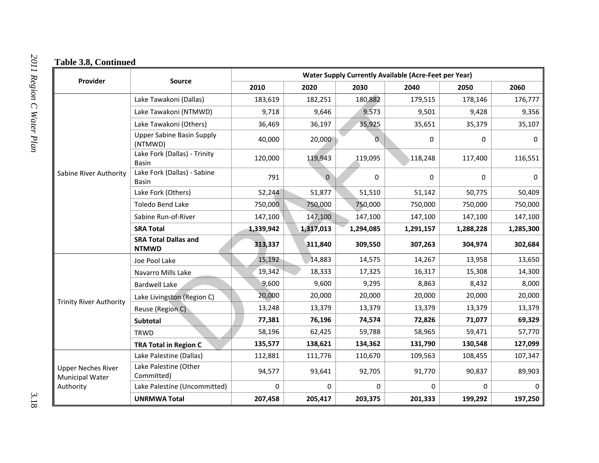|                                              |                                              |           |           |                | <b>Water Supply Currently Available (Acre-Feet per Year)</b> |           |           |
|----------------------------------------------|----------------------------------------------|-----------|-----------|----------------|--------------------------------------------------------------|-----------|-----------|
| Provider                                     | Source                                       | 2010      | 2020      | 2030           | 2040                                                         | 2050      | 2060      |
|                                              | Lake Tawakoni (Dallas)                       | 183,619   | 182,251   | 180,882        | 179,515                                                      | 178,146   | 176,777   |
|                                              | Lake Tawakoni (NTMWD)                        | 9,718     | 9,646     | 9,573          | 9,501                                                        | 9,428     | 9,356     |
|                                              | Lake Tawakoni (Others)                       | 36,469    | 36,197    | 35,925         | 35,651                                                       | 35,379    | 35,107    |
| Sabine River Authority                       | <b>Upper Sabine Basin Supply</b><br>(NTMWD)  | 40,000    | 20,000    | $\overline{0}$ | 0                                                            | 0         | 0         |
|                                              | Lake Fork (Dallas) - Trinity<br><b>Basin</b> | 120,000   | 119,943   | 119,095        | 118,248                                                      | 117,400   | 116,551   |
|                                              | Lake Fork (Dallas) - Sabine<br><b>Basin</b>  | 791       | $\Omega$  | 0              | 0                                                            | 0         | 0         |
|                                              | Lake Fork (Others)                           | 52,244    | 51,877    | 51,510         | 51,142                                                       | 50,775    | 50,409    |
|                                              | <b>Toledo Bend Lake</b>                      | 750,000   | 750,000   | 750,000        | 750,000                                                      | 750,000   | 750,000   |
|                                              | Sabine Run-of-River                          | 147,100   | 147,100   | 147,100        | 147,100                                                      | 147,100   | 147,100   |
|                                              | <b>SRA Total</b>                             | 1,339,942 | 1,317,013 | 1,294,085      | 1,291,157                                                    | 1,288,228 | 1,285,300 |
|                                              | <b>SRA Total Dallas and</b><br><b>NTMWD</b>  | 313,337   | 311,840   | 309,550        | 307,263                                                      | 304,974   | 302,684   |
|                                              | Joe Pool Lake                                | 15,192    | 14,883    | 14,575         | 14,267                                                       | 13,958    | 13,650    |
|                                              | Navarro Mills Lake                           | 19,342    | 18,333    | 17,325         | 16,317                                                       | 15,308    | 14,300    |
|                                              | <b>Bardwell Lake</b>                         | 9,600     | 9,600     | 9,295          | 8,863                                                        | 8,432     | 8,000     |
| <b>Trinity River Authority</b>               | Lake Livingston (Region C)                   | 20,000    | 20,000    | 20,000         | 20,000                                                       | 20,000    | 20,000    |
|                                              | Reuse (Region C)                             | 13,248    | 13,379    | 13,379         | 13,379                                                       | 13,379    | 13,379    |
|                                              | Subtotal                                     | 77,381    | 76,196    | 74,574         | 72,826                                                       | 71,077    | 69,329    |
|                                              | <b>TRWD</b>                                  | 58,196    | 62,425    | 59,788         | 58,965                                                       | 59,471    | 57,770    |
|                                              | <b>TRA Total in Region C</b>                 | 135,577   | 138,621   | 134,362        | 131,790                                                      | 130,548   | 127,099   |
|                                              | Lake Palestine (Dallas)                      | 112,881   | 111,776   | 110,670        | 109,563                                                      | 108,455   | 107,347   |
| <b>Upper Neches River</b><br>Municipal Water | Lake Palestine (Other<br>Committed)          | 94,577    | 93,641    | 92,705         | 91,770                                                       | 90,837    | 89,903    |
| Authority                                    | Lake Palestine (Uncommitted)                 | 0         | 0         | $\mathbf 0$    | 0                                                            | 0         |           |
|                                              | <b>UNRMWA Total</b>                          | 207,458   | 205,417   | 203,375        | 201,333                                                      | 199,292   | 197,250   |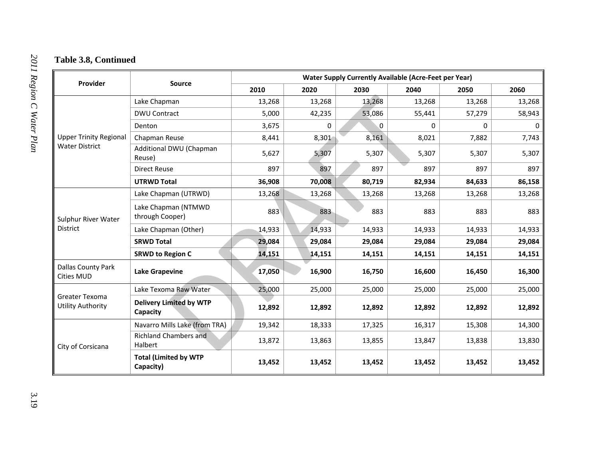| Provider                                               | Source                                     | <b>Water Supply Currently Available (Acre-Feet per Year)</b> |        |        |             |        |        |  |  |  |
|--------------------------------------------------------|--------------------------------------------|--------------------------------------------------------------|--------|--------|-------------|--------|--------|--|--|--|
|                                                        |                                            | 2010                                                         | 2020   | 2030   | 2040        | 2050   | 2060   |  |  |  |
| <b>Upper Trinity Regional</b><br><b>Water District</b> | Lake Chapman                               | 13,268                                                       | 13,268 | 13,268 | 13,268      | 13,268 | 13,268 |  |  |  |
|                                                        | <b>DWU Contract</b>                        | 5,000                                                        | 42,235 | 53,086 | 55,441      | 57,279 | 58,943 |  |  |  |
|                                                        | Denton                                     | 3,675                                                        | 0      | 0      | $\mathbf 0$ | 0      |        |  |  |  |
|                                                        | Chapman Reuse                              | 8,441                                                        | 8,301  | 8,161  | 8,021       | 7,882  | 7,743  |  |  |  |
|                                                        | Additional DWU (Chapman<br>Reuse)          | 5,627                                                        | 5,307  | 5,307  | 5,307       | 5,307  | 5,307  |  |  |  |
|                                                        | <b>Direct Reuse</b>                        | 897                                                          | 897    | 897    | 897         | 897    | 897    |  |  |  |
|                                                        | <b>UTRWD Total</b>                         | 36,908                                                       | 70,008 | 80,719 | 82,934      | 84,633 | 86,158 |  |  |  |
| Sulphur River Water                                    | Lake Chapman (UTRWD)                       | 13,268                                                       | 13,268 | 13,268 | 13,268      | 13,268 | 13,268 |  |  |  |
|                                                        | Lake Chapman (NTMWD<br>through Cooper)     | 883                                                          | 883    | 883    | 883         | 883    | 883    |  |  |  |
| District                                               | Lake Chapman (Other)                       | 14,933                                                       | 14,933 | 14,933 | 14,933      | 14,933 | 14,933 |  |  |  |
|                                                        | <b>SRWD Total</b>                          | 29,084                                                       | 29,084 | 29,084 | 29,084      | 29,084 | 29,084 |  |  |  |
|                                                        | <b>SRWD to Region C</b>                    | 14,151                                                       | 14,151 | 14,151 | 14,151      | 14,151 | 14,151 |  |  |  |
| Dallas County Park<br><b>Cities MUD</b>                | <b>Lake Grapevine</b>                      | 17,050                                                       | 16,900 | 16,750 | 16,600      | 16,450 | 16,300 |  |  |  |
| Greater Texoma<br><b>Utility Authority</b>             | Lake Texoma Raw Water                      | 25,000                                                       | 25,000 | 25,000 | 25,000      | 25,000 | 25,000 |  |  |  |
|                                                        | <b>Delivery Limited by WTP</b><br>Capacity | 12,892                                                       | 12,892 | 12,892 | 12,892      | 12,892 | 12,892 |  |  |  |
| City of Corsicana                                      | Navarro Mills Lake (from TRA)              | 19,342                                                       | 18,333 | 17,325 | 16,317      | 15,308 | 14,300 |  |  |  |
|                                                        | <b>Richland Chambers and</b><br>Halbert    | 13,872                                                       | 13,863 | 13,855 | 13,847      | 13,838 | 13,830 |  |  |  |
|                                                        | <b>Total (Limited by WTP</b><br>Capacity)  | 13,452                                                       | 13,452 | 13,452 | 13,452      | 13,452 | 13,452 |  |  |  |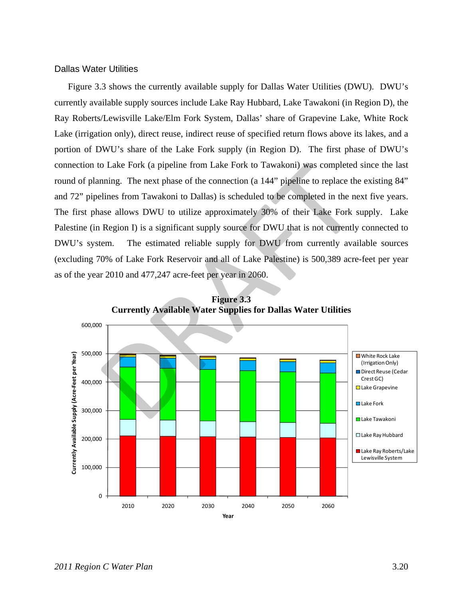#### Dallas Water Utilities

Figure 3.3 shows the currently available supply for Dallas Water Utilities (DWU). DWU's currently available supply sources include Lake Ray Hubbard, Lake Tawakoni (in Region D), the Ray Roberts/Lewisville Lake/Elm Fork System, Dallas' share of Grapevine Lake, White Rock Lake (irrigation only), direct reuse, indirect reuse of specified return flows above its lakes, and a portion of DWU's share of the Lake Fork supply (in Region D). The first phase of DWU's connection to Lake Fork (a pipeline from Lake Fork to Tawakoni) was completed since the last round of planning. The next phase of the connection (a 144" pipeline to replace the existing 84" and 72" pipelines from Tawakoni to Dallas) is scheduled to be completed in the next five years. The first phase allows DWU to utilize approximately 30% of their Lake Fork supply. Lake Palestine (in Region I) is a significant supply source for DWU that is not currently connected to DWU's system. The estimated reliable supply for DWU from currently available sources (excluding 70% of Lake Fork Reservoir and all of Lake Palestine) is 500,389 acre-feet per year as of the year 2010 and 477,247 acre-feet per year in 2060. o Lake Fork (a pipeline from Lake Fork to Tawakoni) was completed since<br>nning. The next phase of the connection (a 144" pipeline to replace the existines<br>from Tawakoni to Dallas) is scheduled to be completed in the next fi



**Figure 3.3 Currently Available Water Supplies for Dallas Water Utilities**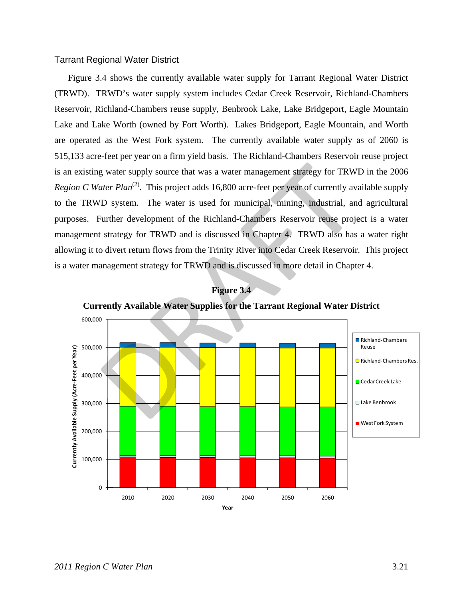### Tarrant Regional Water District

Figure 3.4 shows the currently available water supply for Tarrant Regional Water District (TRWD). TRWD's water supply system includes Cedar Creek Reservoir, Richland-Chambers Reservoir, Richland-Chambers reuse supply, Benbrook Lake, Lake Bridgeport, Eagle Mountain Lake and Lake Worth (owned by Fort Worth). Lakes Bridgeport, Eagle Mountain, and Worth are operated as the West Fork system. The currently available water supply as of 2060 is 515,133 acre-feet per year on a firm yield basis. The Richland-Chambers Reservoir reuse project is an existing water supply source that was a water management strategy for TRWD in the 2006 *Region C Water Plan*<sup>(2)</sup>. This project adds 16,800 acre-feet per year of currently available supply to the TRWD system. The water is used for municipal, mining, industrial, and agricultural purposes. Further development of the Richland-Chambers Reservoir reuse project is a water management strategy for TRWD and is discussed in Chapter 4. TRWD also has a water right allowing it to divert return flows from the Trinity River into Cedar Creek Reservoir. This project is a water management strategy for TRWD and is discussed in more detail in Chapter 4.



**Figure 3.4 Currently Available Water Supplies for the Tarrant Regional Water District**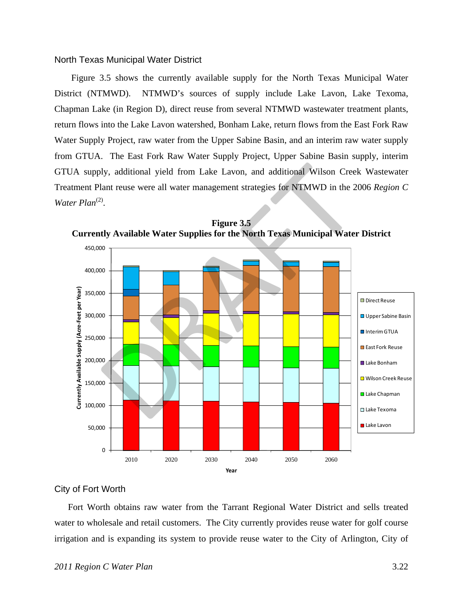#### North Texas Municipal Water District

Figure 3.5 shows the currently available supply for the North Texas Municipal Water District (NTMWD). NTMWD's sources of supply include Lake Lavon, Lake Texoma, Chapman Lake (in Region D), direct reuse from several NTMWD wastewater treatment plants, return flows into the Lake Lavon watershed, Bonham Lake, return flows from the East Fork Raw Water Supply Project, raw water from the Upper Sabine Basin, and an interim raw water supply from GTUA. The East Fork Raw Water Supply Project, Upper Sabine Basin supply, interim GTUA supply, additional yield from Lake Lavon, and additional Wilson Creek Wastewater Treatment Plant reuse were all water management strategies for NTMWD in the 2006 *Region C*  Water Plan<sup>(2)</sup>.



**Figure 3.5 Currently Available Water Supplies for the North Texas Municipal Water District** 

### City of Fort Worth

Fort Worth obtains raw water from the Tarrant Regional Water District and sells treated water to wholesale and retail customers. The City currently provides reuse water for golf course irrigation and is expanding its system to provide reuse water to the City of Arlington, City of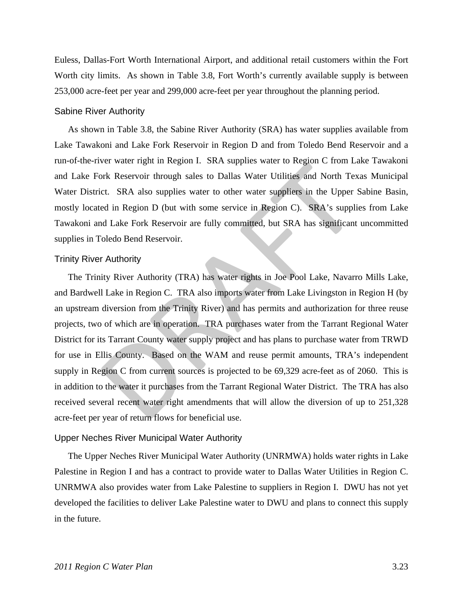Euless, Dallas-Fort Worth International Airport, and additional retail customers within the Fort Worth city limits. As shown in Table 3.8, Fort Worth's currently available supply is between 253,000 acre-feet per year and 299,000 acre-feet per year throughout the planning period.

#### Sabine River Authority

As shown in Table 3.8, the Sabine River Authority (SRA) has water supplies available from Lake Tawakoni and Lake Fork Reservoir in Region D and from Toledo Bend Reservoir and a run-of-the-river water right in Region I. SRA supplies water to Region C from Lake Tawakoni and Lake Fork Reservoir through sales to Dallas Water Utilities and North Texas Municipal Water District. SRA also supplies water to other water suppliers in the Upper Sabine Basin, mostly located in Region D (but with some service in Region C). SRA's supplies from Lake Tawakoni and Lake Fork Reservoir are fully committed, but SRA has significant uncommitted supplies in Toledo Bend Reservoir.

#### Trinity River Authority

The Trinity River Authority (TRA) has water rights in Joe Pool Lake, Navarro Mills Lake, and Bardwell Lake in Region C. TRA also imports water from Lake Livingston in Region H (by an upstream diversion from the Trinity River) and has permits and authorization for three reuse projects, two of which are in operation. TRA purchases water from the Tarrant Regional Water District for its Tarrant County water supply project and has plans to purchase water from TRWD for use in Ellis County. Based on the WAM and reuse permit amounts, TRA's independent supply in Region C from current sources is projected to be 69,329 acre-feet as of 2060. This is in addition to the water it purchases from the Tarrant Regional Water District. The TRA has also received several recent water right amendments that will allow the diversion of up to 251,328 acre-feet per year of return flows for beneficial use. For water right in region 1: SKT supplies water to region C non East<br>of Reservoir through sales to Dallas Water Utilities and North Tex<br>ct. SRA also supplies water to other water suppliers in the Upper :<br>ed in Region D (bu

#### Upper Neches River Municipal Water Authority

The Upper Neches River Municipal Water Authority (UNRMWA) holds water rights in Lake Palestine in Region I and has a contract to provide water to Dallas Water Utilities in Region C. UNRMWA also provides water from Lake Palestine to suppliers in Region I. DWU has not yet developed the facilities to deliver Lake Palestine water to DWU and plans to connect this supply in the future.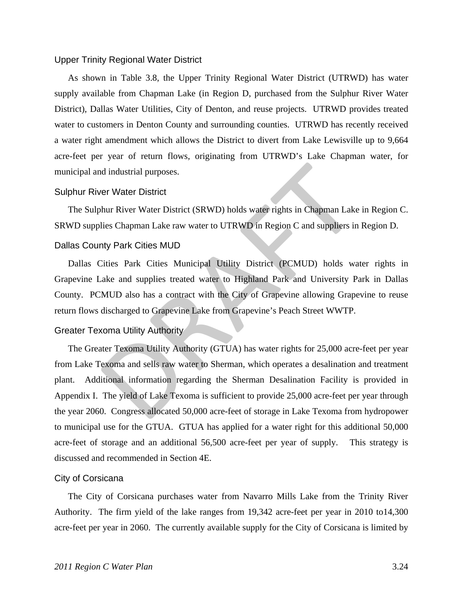#### Upper Trinity Regional Water District

As shown in Table 3.8, the Upper Trinity Regional Water District (UTRWD) has water supply available from Chapman Lake (in Region D, purchased from the Sulphur River Water District), Dallas Water Utilities, City of Denton, and reuse projects. UTRWD provides treated water to customers in Denton County and surrounding counties. UTRWD has recently received a water right amendment which allows the District to divert from Lake Lewisville up to 9,664 acre-feet per year of return flows, originating from UTRWD's Lake Chapman water, for municipal and industrial purposes.

#### Sulphur River Water District

The Sulphur River Water District (SRWD) holds water rights in Chapman Lake in Region C. SRWD supplies Chapman Lake raw water to UTRWD in Region C and suppliers in Region D.

### Dallas County Park Cities MUD

Dallas Cities Park Cities Municipal Utility District (PCMUD) holds water rights in Grapevine Lake and supplies treated water to Highland Park and University Park in Dallas County. PCMUD also has a contract with the City of Grapevine allowing Grapevine to reuse return flows discharged to Grapevine Lake from Grapevine's Peach Street WWTP.

#### Greater Texoma Utility Authority

The Greater Texoma Utility Authority (GTUA) has water rights for 25,000 acre-feet per year from Lake Texoma and sells raw water to Sherman, which operates a desalination and treatment plant. Additional information regarding the Sherman Desalination Facility is provided in Appendix I. The yield of Lake Texoma is sufficient to provide 25,000 acre-feet per year through the year 2060. Congress allocated 50,000 acre-feet of storage in Lake Texoma from hydropower to municipal use for the GTUA. GTUA has applied for a water right for this additional 50,000 acre-feet of storage and an additional 56,500 acre-feet per year of supply. This strategy is discussed and recommended in Section 4E. nd industrial purposes.<br>
ver Water District<br>
comparent Mater Tistrict (SRWD) holds water rights in Chapman Lake<br>
lies Chapman Lake raw water to UTRWD in Region C and suppliers in<br>
thy Park Cities MUD<br>
Cities Park Cities Mu

#### City of Corsicana

The City of Corsicana purchases water from Navarro Mills Lake from the Trinity River Authority. The firm yield of the lake ranges from 19,342 acre-feet per year in 2010 to14,300 acre-feet per year in 2060. The currently available supply for the City of Corsicana is limited by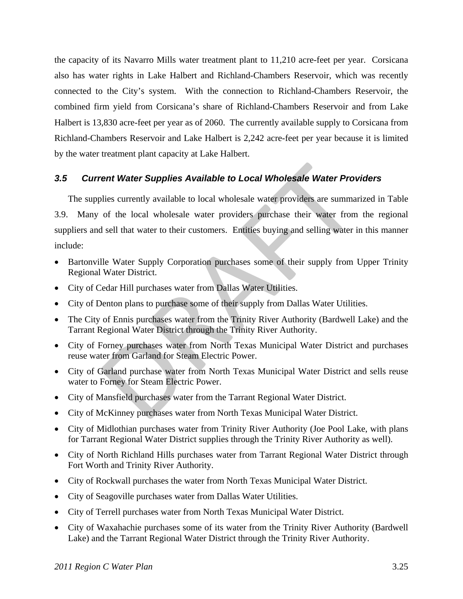the capacity of its Navarro Mills water treatment plant to 11,210 acre-feet per year. Corsicana also has water rights in Lake Halbert and Richland-Chambers Reservoir, which was recently connected to the City's system. With the connection to Richland-Chambers Reservoir, the combined firm yield from Corsicana's share of Richland-Chambers Reservoir and from Lake Halbert is 13,830 acre-feet per year as of 2060. The currently available supply to Corsicana from Richland-Chambers Reservoir and Lake Halbert is 2,242 acre-feet per year because it is limited by the water treatment plant capacity at Lake Halbert.

## *3.5 Current Water Supplies Available to Local Wholesale Water Providers*

The supplies currently available to local wholesale water providers are summarized in Table 3.9. Many of the local wholesale water providers purchase their water from the regional suppliers and sell that water to their customers. Entities buying and selling water in this manner include: **The Water Supplies Available to Local Wholesale Water Providies currently available to local wholesale water providers are summal of the local wholesale water providers purchase their water from alsell that water to their** 

- Bartonville Water Supply Corporation purchases some of their supply from Upper Trinity Regional Water District.
- City of Cedar Hill purchases water from Dallas Water Utilities.
- City of Denton plans to purchase some of their supply from Dallas Water Utilities.
- The City of Ennis purchases water from the Trinity River Authority (Bardwell Lake) and the Tarrant Regional Water District through the Trinity River Authority.
- City of Forney purchases water from North Texas Municipal Water District and purchases reuse water from Garland for Steam Electric Power.
- City of Garland purchase water from North Texas Municipal Water District and sells reuse water to Forney for Steam Electric Power.
- City of Mansfield purchases water from the Tarrant Regional Water District.
- City of McKinney purchases water from North Texas Municipal Water District.
- City of Midlothian purchases water from Trinity River Authority (Joe Pool Lake, with plans for Tarrant Regional Water District supplies through the Trinity River Authority as well).
- City of North Richland Hills purchases water from Tarrant Regional Water District through Fort Worth and Trinity River Authority.
- City of Rockwall purchases the water from North Texas Municipal Water District.
- City of Seagoville purchases water from Dallas Water Utilities.
- City of Terrell purchases water from North Texas Municipal Water District.
- City of Waxahachie purchases some of its water from the Trinity River Authority (Bardwell Lake) and the Tarrant Regional Water District through the Trinity River Authority.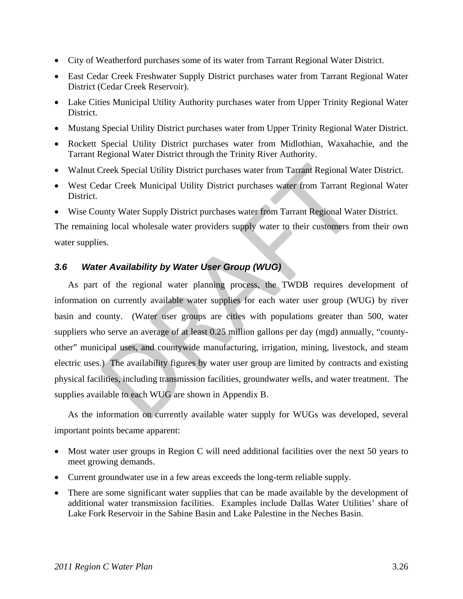- City of Weatherford purchases some of its water from Tarrant Regional Water District.
- East Cedar Creek Freshwater Supply District purchases water from Tarrant Regional Water District (Cedar Creek Reservoir).
- Lake Cities Municipal Utility Authority purchases water from Upper Trinity Regional Water District.
- Mustang Special Utility District purchases water from Upper Trinity Regional Water District.
- Rockett Special Utility District purchases water from Midlothian, Waxahachie, and the Tarrant Regional Water District through the Trinity River Authority.
- Walnut Creek Special Utility District purchases water from Tarrant Regional Water District.
- West Cedar Creek Municipal Utility District purchases water from Tarrant Regional Water District.
- Wise County Water Supply District purchases water from Tarrant Regional Water District.

The remaining local wholesale water providers supply water to their customers from their own water supplies.

## *3.6 Water Availability by Water User Group (WUG)*

As part of the regional water planning process, the TWDB requires development of information on currently available water supplies for each water user group (WUG) by river basin and county. (Water user groups are cities with populations greater than 500, water suppliers who serve an average of at least 0.25 million gallons per day (mgd) annually, "countyother" municipal uses, and countywide manufacturing, irrigation, mining, livestock, and steam electric uses.) The availability figures by water user group are limited by contracts and existing physical facilities, including transmission facilities, groundwater wells, and water treatment. The supplies available to each WUG are shown in Appendix B. Creek Special Utility District purchases water from Tarrant Regional W<br>dar Creek Municipal Utility District purchases water from Tarrant Re<br>unty Water Supply District purchases water from Tarrant Regional Wat<br>my Water Supp

As the information on currently available water supply for WUGs was developed, several important points became apparent:

- Most water user groups in Region C will need additional facilities over the next 50 years to meet growing demands.
- Current groundwater use in a few areas exceeds the long-term reliable supply.
- There are some significant water supplies that can be made available by the development of additional water transmission facilities. Examples include Dallas Water Utilities' share of Lake Fork Reservoir in the Sabine Basin and Lake Palestine in the Neches Basin.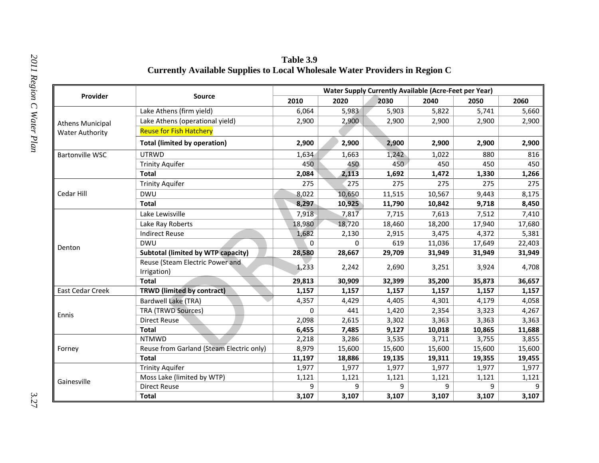| Provider                                          | <b>Source</b>                                  | <b>Water Supply Currently Available (Acre-Feet per Year)</b> |        |        |        |        |        |  |  |
|---------------------------------------------------|------------------------------------------------|--------------------------------------------------------------|--------|--------|--------|--------|--------|--|--|
|                                                   |                                                | 2010                                                         | 2020   | 2030   | 2040   | 2050   | 2060   |  |  |
| <b>Athens Municipal</b><br><b>Water Authority</b> | Lake Athens (firm yield)                       | 6,064                                                        | 5,983  | 5,903  | 5,822  | 5,741  | 5,660  |  |  |
|                                                   | Lake Athens (operational yield)                | 2,900                                                        | 2,900  | 2,900  | 2,900  | 2,900  | 2,900  |  |  |
|                                                   | <b>Reuse for Fish Hatchery</b>                 |                                                              |        |        |        |        |        |  |  |
|                                                   | <b>Total (limited by operation)</b>            | 2,900                                                        | 2,900  | 2,900  | 2,900  | 2,900  | 2,900  |  |  |
| <b>Bartonville WSC</b>                            | <b>UTRWD</b>                                   | 1,634                                                        | 1,663  | 1,242  | 1,022  | 880    | 816    |  |  |
|                                                   | <b>Trinity Aquifer</b>                         | 450                                                          | 450    | 450    | 450    | 450    | 450    |  |  |
|                                                   | <b>Total</b>                                   | 2,084                                                        | 2,113  | 1,692  | 1,472  | 1,330  | 1,266  |  |  |
| Cedar Hill                                        | <b>Trinity Aquifer</b>                         | 275                                                          | 275    | 275    | 275    | 275    | 275    |  |  |
|                                                   | <b>DWU</b>                                     | 8,022                                                        | 10,650 | 11,515 | 10,567 | 9,443  | 8,175  |  |  |
|                                                   | <b>Total</b>                                   | 8,297                                                        | 10,925 | 11,790 | 10,842 | 9,718  | 8,450  |  |  |
|                                                   | Lake Lewisville                                | 7,918                                                        | 7,817  | 7,715  | 7,613  | 7,512  | 7,410  |  |  |
|                                                   | Lake Ray Roberts                               | 18,980                                                       | 18,720 | 18,460 | 18,200 | 17,940 | 17,680 |  |  |
|                                                   | <b>Indirect Reuse</b>                          | 1,682                                                        | 2,130  | 2,915  | 3,475  | 4,372  | 5,381  |  |  |
| Denton                                            | <b>DWU</b>                                     | 0                                                            | 0      | 619    | 11,036 | 17,649 | 22,403 |  |  |
|                                                   | <b>Subtotal (limited by WTP capacity)</b>      | 28,580                                                       | 28,667 | 29,709 | 31,949 | 31,949 | 31,949 |  |  |
|                                                   | Reuse (Steam Electric Power and<br>Irrigation) | 1,233                                                        | 2,242  | 2,690  | 3,251  | 3,924  | 4,708  |  |  |
|                                                   | <b>Total</b>                                   | 29,813                                                       | 30,909 | 32,399 | 35,200 | 35,873 | 36,657 |  |  |
| <b>East Cedar Creek</b>                           | <b>TRWD (limited by contract)</b>              | 1,157                                                        | 1,157  | 1,157  | 1,157  | 1,157  | 1,157  |  |  |
| Ennis                                             | <b>Bardwell Lake (TRA)</b>                     | 4,357                                                        | 4,429  | 4,405  | 4,301  | 4,179  | 4,058  |  |  |
|                                                   | <b>TRA (TRWD Sources)</b>                      | $\Omega$                                                     | 441    | 1,420  | 2,354  | 3,323  | 4,267  |  |  |
|                                                   | <b>Direct Reuse</b>                            | 2,098                                                        | 2,615  | 3,302  | 3,363  | 3,363  | 3,363  |  |  |
|                                                   | <b>Total</b>                                   | 6,455                                                        | 7,485  | 9,127  | 10,018 | 10,865 | 11,688 |  |  |
| Forney                                            | <b>NTMWD</b>                                   | 2,218                                                        | 3,286  | 3,535  | 3,711  | 3,755  | 3,855  |  |  |
|                                                   | Reuse from Garland (Steam Electric only)       | 8,979                                                        | 15,600 | 15,600 | 15,600 | 15,600 | 15,600 |  |  |
|                                                   | <b>Total</b>                                   | 11,197                                                       | 18,886 | 19,135 | 19,311 | 19,355 | 19,455 |  |  |
|                                                   | <b>Trinity Aquifer</b>                         | 1,977                                                        | 1,977  | 1,977  | 1,977  | 1,977  | 1,977  |  |  |
| Gainesville                                       | Moss Lake (limited by WTP)                     | 1,121                                                        | 1,121  | 1,121  | 1,121  | 1,121  | 1,121  |  |  |
|                                                   | <b>Direct Reuse</b>                            | 9                                                            | 9      | 9      | 9      | 9      | 9      |  |  |
|                                                   | <b>Total</b>                                   | 3,107                                                        | 3,107  | 3,107  | 3,107  | 3,107  | 3,107  |  |  |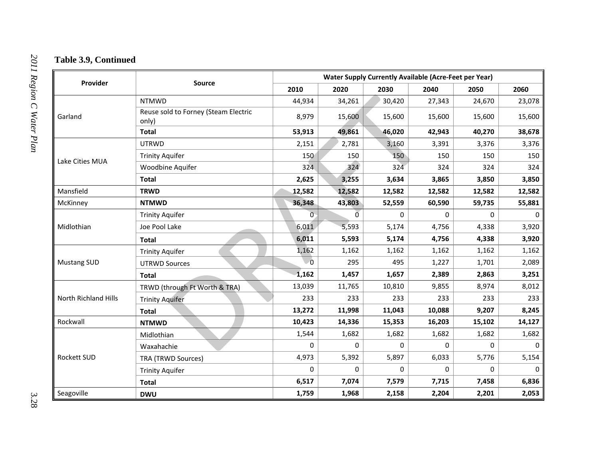| Provider             |                                               |                | <b>Water Supply Currently Available (Acre-Feet per Year)</b> |        |             |          |          |  |  |
|----------------------|-----------------------------------------------|----------------|--------------------------------------------------------------|--------|-------------|----------|----------|--|--|
|                      | <b>Source</b>                                 | 2010           | 2020                                                         | 2030   | 2040        | 2050     | 2060     |  |  |
| Garland              | <b>NTMWD</b>                                  | 44,934         | 34,261                                                       | 30,420 | 27,343      | 24,670   | 23,078   |  |  |
|                      | Reuse sold to Forney (Steam Electric<br>only) | 8,979          | 15,600                                                       | 15,600 | 15,600      | 15,600   | 15,600   |  |  |
|                      | <b>Total</b>                                  | 53,913         | 49,861                                                       | 46,020 | 42,943      | 40,270   | 38,678   |  |  |
| Lake Cities MUA      | <b>UTRWD</b>                                  | 2,151          | 2,781                                                        | 3,160  | 3,391       | 3,376    | 3,376    |  |  |
|                      | <b>Trinity Aquifer</b>                        | 150            | 150                                                          | 150    | 150         | 150      | 150      |  |  |
|                      | Woodbine Aquifer                              | 324            | 324                                                          | 324    | 324         | 324      | 324      |  |  |
|                      | <b>Total</b>                                  | 2,625          | 3,255                                                        | 3,634  | 3,865       | 3,850    | 3,850    |  |  |
| Mansfield            | <b>TRWD</b>                                   | 12,582         | 12,582                                                       | 12,582 | 12,582      | 12,582   | 12,582   |  |  |
| McKinney             | <b>NTMWD</b>                                  | 36,348         | 43,803                                                       | 52,559 | 60,590      | 59,735   | 55,881   |  |  |
| Midlothian           | <b>Trinity Aquifer</b>                        | $\overline{0}$ | $\overline{0}$                                               | 0      | 0           | $\Omega$ | $\Omega$ |  |  |
|                      | Joe Pool Lake                                 | 6,011          | 5,593                                                        | 5,174  | 4,756       | 4,338    | 3,920    |  |  |
|                      | <b>Total</b>                                  | 6,011          | 5,593                                                        | 5,174  | 4,756       | 4,338    | 3,920    |  |  |
|                      | <b>Trinity Aquifer</b>                        | 1,162          | 1,162                                                        | 1,162  | 1,162       | 1,162    | 1,162    |  |  |
| <b>Mustang SUD</b>   | <b>UTRWD Sources</b>                          | $\overline{0}$ | 295                                                          | 495    | 1,227       | 1,701    | 2,089    |  |  |
|                      | <b>Total</b>                                  | 1,162          | 1,457                                                        | 1,657  | 2,389       | 2,863    | 3,251    |  |  |
| North Richland Hills | TRWD (through Ft Worth & TRA)                 | 13,039         | 11,765                                                       | 10,810 | 9,855       | 8,974    | 8,012    |  |  |
|                      | <b>Trinity Aquifer</b>                        | 233            | 233                                                          | 233    | 233         | 233      | 233      |  |  |
|                      | <b>Total</b>                                  | 13,272         | 11,998                                                       | 11,043 | 10,088      | 9,207    | 8,245    |  |  |
| Rockwall             | <b>NTMWD</b>                                  | 10,423         | 14,336                                                       | 15,353 | 16,203      | 15,102   | 14,127   |  |  |
|                      | Midlothian                                    | 1,544          | 1,682                                                        | 1,682  | 1,682       | 1,682    | 1,682    |  |  |
| <b>Rockett SUD</b>   | Waxahachie                                    | 0              | 0                                                            | 0      | $\mathbf 0$ | 0        | $\Omega$ |  |  |
|                      | <b>TRA (TRWD Sources)</b>                     | 4,973          | 5,392                                                        | 5,897  | 6,033       | 5,776    | 5,154    |  |  |
|                      | <b>Trinity Aquifer</b>                        | 0              | 0                                                            | 0      | 0           | 0        | $\Omega$ |  |  |
|                      | <b>Total</b>                                  | 6,517          | 7,074                                                        | 7,579  | 7,715       | 7,458    | 6,836    |  |  |
| Seagoville           | <b>DWU</b>                                    | 1,759          | 1,968                                                        | 2,158  | 2,204       | 2,201    | 2,053    |  |  |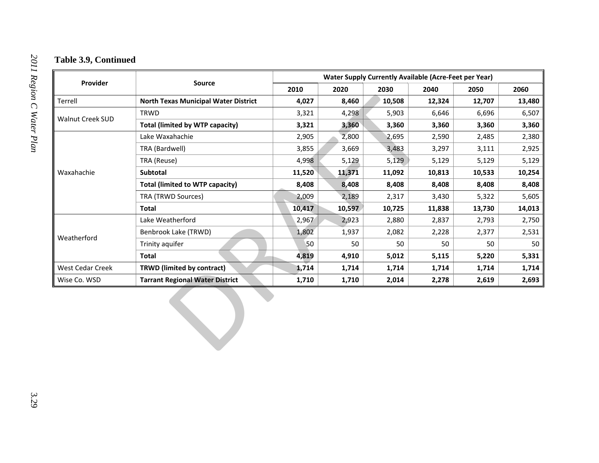| Provider         | Source                                      | <b>Water Supply Currently Available (Acre-Feet per Year)</b> |        |        |        |        |        |  |
|------------------|---------------------------------------------|--------------------------------------------------------------|--------|--------|--------|--------|--------|--|
|                  |                                             | 2010                                                         | 2020   | 2030   | 2040   | 2050   | 2060   |  |
| Terrell          | <b>North Texas Municipal Water District</b> | 4,027                                                        | 8,460  | 10,508 | 12,324 | 12,707 | 13,480 |  |
| Walnut Creek SUD | TRWD                                        | 3,321                                                        | 4,298  | 5,903  | 6,646  | 6,696  | 6,507  |  |
|                  | <b>Total (limited by WTP capacity)</b>      | 3,321                                                        | 3,360  | 3,360  | 3,360  | 3,360  | 3,360  |  |
| Waxahachie       | Lake Waxahachie                             | 2,905                                                        | 2,800  | 2,695  | 2,590  | 2,485  | 2,380  |  |
|                  | TRA (Bardwell)                              | 3,855                                                        | 3,669  | 3,483  | 3,297  | 3,111  | 2,925  |  |
|                  | TRA (Reuse)                                 | 4,998                                                        | 5,129  | 5,129  | 5,129  | 5,129  | 5,129  |  |
|                  | Subtotal                                    | 11,520                                                       | 11,371 | 11,092 | 10,813 | 10,533 | 10,254 |  |
|                  | <b>Total (limited to WTP capacity)</b>      | 8,408                                                        | 8,408  | 8,408  | 8,408  | 8,408  | 8,408  |  |
|                  | TRA (TRWD Sources)                          | 2,009                                                        | 2,189  | 2,317  | 3,430  | 5,322  | 5,605  |  |
|                  | <b>Total</b>                                | 10,417                                                       | 10,597 | 10,725 | 11,838 | 13,730 | 14,013 |  |
|                  | Lake Weatherford                            | 2,967                                                        | 2,923  | 2,880  | 2,837  | 2,793  | 2,750  |  |
|                  | Benbrook Lake (TRWD)                        | 1,802                                                        | 1,937  | 2,082  | 2,228  | 2,377  | 2,531  |  |
| Weatherford      | Trinity aquifer                             | 50                                                           | 50     | 50     | 50     | 50     | 50     |  |
|                  | <b>Total</b>                                | 4,819                                                        | 4,910  | 5,012  | 5,115  | 5,220  | 5,331  |  |
| West Cedar Creek | <b>TRWD (limited by contract)</b>           | 1,714                                                        | 1,714  | 1,714  | 1,714  | 1,714  | 1,714  |  |
| Wise Co. WSD     | <b>Tarrant Regional Water District</b>      | 1,710                                                        | 1,710  | 2,014  | 2,278  | 2,619  | 2,693  |  |
|                  |                                             |                                                              |        |        |        |        |        |  |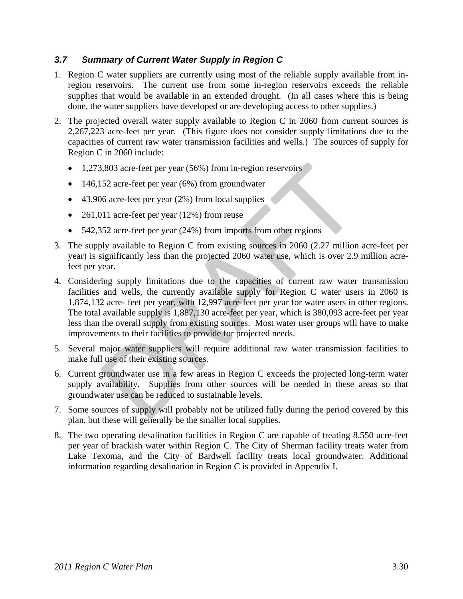## *3.7 Summary of Current Water Supply in Region C*

- 1. Region C water suppliers are currently using most of the reliable supply available from inregion reservoirs. The current use from some in-region reservoirs exceeds the reliable supplies that would be available in an extended drought. (In all cases where this is being done, the water suppliers have developed or are developing access to other supplies.)
- 2. The projected overall water supply available to Region C in 2060 from current sources is 2,267,223 acre-feet per year. (This figure does not consider supply limitations due to the capacities of current raw water transmission facilities and wells.) The sources of supply for Region C in 2060 include:
	- 1,273,803 acre-feet per year (56%) from in-region reservoirs
	- 146,152 acre-feet per year (6%) from groundwater
	- 43,906 acre-feet per year (2%) from local supplies
	- 261,011 acre-feet per year (12%) from reuse
	- 542,352 acre-feet per year (24%) from imports from other regions
- 3. The supply available to Region C from existing sources in 2060 (2.27 million acre-feet per year) is significantly less than the projected 2060 water use, which is over 2.9 million acrefeet per year.
- 4. Considering supply limitations due to the capacities of current raw water transmission facilities and wells, the currently available supply for Region C water users in 2060 is 1,874,132 acre- feet per year, with 12,997 acre-feet per year for water users in other regions. The total available supply is 1,887,130 acre-feet per year, which is 380,093 acre-feet per year less than the overall supply from existing sources. Most water user groups will have to make improvements to their facilities to provide for projected needs. 3,803 acre-feet per year (56%) from in-region reservoirs<br>
152 acre-feet per year (6%) from groundwater<br>
16 acre-feet per year (2%) from groundwater<br>
111 acre-feet per year (2%) from local supplies<br>
111 acre-feet per year (
- 5. Several major water suppliers will require additional raw water transmission facilities to make full use of their existing sources.
- 6. Current groundwater use in a few areas in Region C exceeds the projected long-term water supply availability. Supplies from other sources will be needed in these areas so that groundwater use can be reduced to sustainable levels.
- 7. Some sources of supply will probably not be utilized fully during the period covered by this plan, but these will generally be the smaller local supplies.
- 8. The two operating desalination facilities in Region C are capable of treating 8,550 acre-feet per year of brackish water within Region C. The City of Sherman facility treats water from Lake Texoma, and the City of Bardwell facility treats local groundwater. Additional information regarding desalination in Region C is provided in Appendix I.